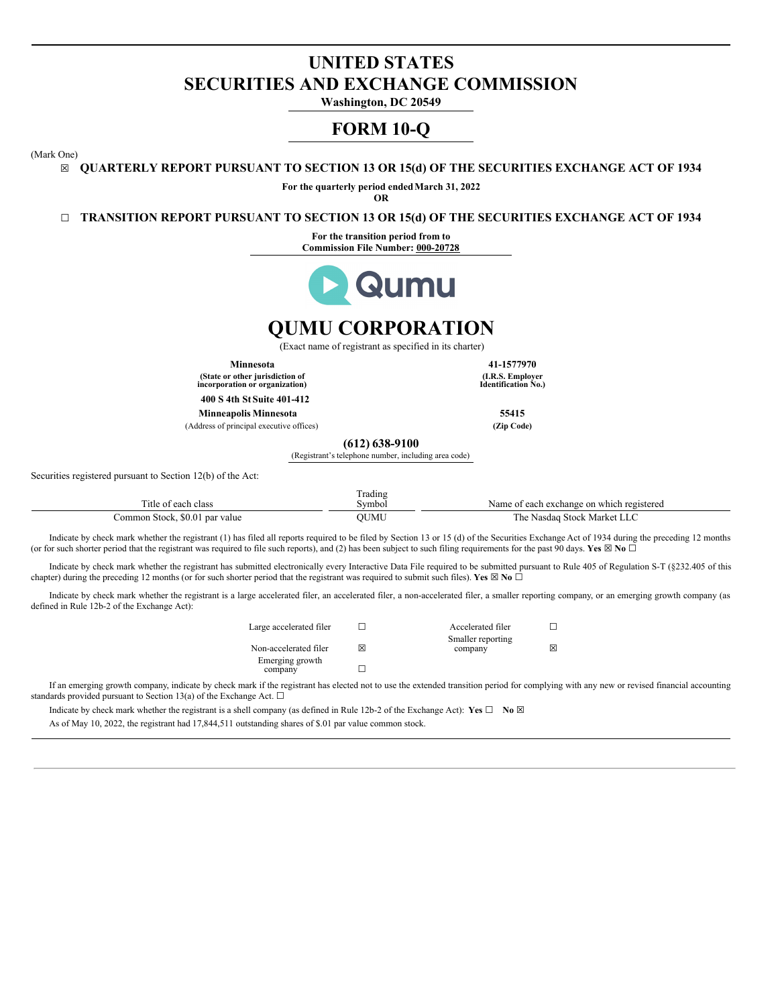# **UNITED STATES SECURITIES AND EXCHANGE COMMISSION**

**Washington, DC 20549**

# **FORM 10-Q**

(Mark One)

☒ **QUARTERLY REPORT PURSUANT TO SECTION 13 OR 15(d) OF THE SECURITIES EXCHANGE ACT OF 1934**

**For the quarterly period endedMarch 31, 2022**

**OR**

☐ **TRANSITION REPORT PURSUANT TO SECTION 13 OR 15(d) OF THE SECURITIES EXCHANGE ACT OF 1934**

**For the transition period from to Commission File Number: 000-20728**



# **QUMU CORPORATION**

(Exact name of registrant as specified in its charter)

**Minnesota 41-1577970**

**(State or other jurisdiction of incorporation or organization)**

**400 S 4th St Suite 401-412**

**Minneapolis Minnesota 55415**

(Address of principal executive offices) **(Zip Code)**

**(I.R.S. Employer Identification No.)**

**(612) 638-9100**

(Registrant's telephone number, including area code)

Securities registered pursuant to Section 12(b) of the Act:

| Title of each class            | . rading<br>3vmbol | Name of each exchange on which registered |
|--------------------------------|--------------------|-------------------------------------------|
| Common Stock, \$0.01 par value | QUMU               | The Nasdaq Stock Market LLC               |

Indicate by check mark whether the registrant (1) has filed all reports required to be filed by Section 13 or 15 (d) of the Securities Exchange Act of 1934 during the preceding 12 months (or for such shorter period that the registrant was required to file such reports), and (2) has been subject to such filing requirements for the past 90 days. Yes  $\boxtimes$  No  $\Box$ 

Indicate by check mark whether the registrant has submitted electronically every Interactive Data File required to be submitted pursuant to Rule 405 of Regulation S-T (§232.405 of this chapter) during the preceding 12 months (or for such shorter period that the registrant was required to submit such files). **Yes**  $\boxtimes$  **No**  $\Box$ 

Indicate by check mark whether the registrant is a large accelerated filer, an accelerated filer, a non-accelerated filer, a smaller reporting company, or an emerging growth company (as defined in Rule 12b-2 of the Exchange Act):

| Large accelerated filer    |   | Accelerated filer            |   |
|----------------------------|---|------------------------------|---|
| Non-accelerated filer      | ⊠ | Smaller reporting<br>company | X |
| Emerging growth<br>company |   |                              |   |

If an emerging growth company, indicate by check mark if the registrant has elected not to use the extended transition period for complying with any new or revised financial accounting standards provided pursuant to Section 13(a) of the Exchange Act.  $\Box$ 

Indicate by check mark whether the registrant is a shell company (as defined in Rule 12b-2 of the Exchange Act): **Yes** ☐ **No** ☒

<span id="page-0-0"></span>As of May 10, 2022, the registrant had 17,844,511 outstanding shares of \$.01 par value common stock.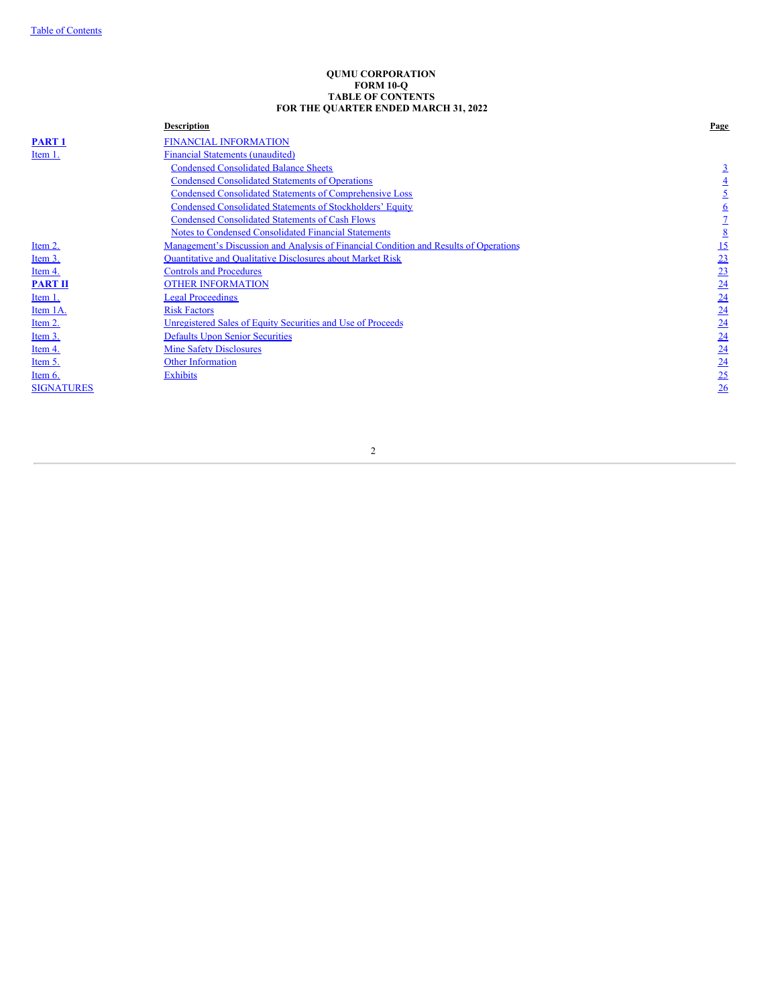## **QUMU CORPORATION FORM 10-Q TABLE OF CONTENTS FOR THE QUARTER ENDED MARCH 31, 2022**

<span id="page-1-0"></span>

|                   | <b>Description</b>                                                                    | Page            |
|-------------------|---------------------------------------------------------------------------------------|-----------------|
| <b>PART1</b>      | <b>FINANCIAL INFORMATION</b>                                                          |                 |
| Item 1.           | <b>Financial Statements (unaudited)</b>                                               |                 |
|                   | <b>Condensed Consolidated Balance Sheets</b>                                          | $\overline{3}$  |
|                   | <b>Condensed Consolidated Statements of Operations</b>                                |                 |
|                   | <b>Condensed Consolidated Statements of Comprehensive Loss</b>                        |                 |
|                   | <b>Condensed Consolidated Statements of Stockholders' Equity</b>                      | <u>6</u>        |
|                   | <b>Condensed Consolidated Statements of Cash Flows</b>                                |                 |
|                   | <b>Notes to Condensed Consolidated Financial Statements</b>                           | $\underline{8}$ |
| Item 2.           | Management's Discussion and Analysis of Financial Condition and Results of Operations | 15              |
| Item 3.           | <b>Ouantitative and Qualitative Disclosures about Market Risk</b>                     | 23              |
| Item 4.           | <b>Controls and Procedures</b>                                                        | 23              |
| <b>PART II</b>    | <b>OTHER INFORMATION</b>                                                              | 24              |
| Item 1.           | <b>Legal Proceedings</b>                                                              | 24              |
| Item 1A.          | <b>Risk Factors</b>                                                                   | 24              |
| Item 2.           | Unregistered Sales of Equity Securities and Use of Proceeds                           | 24              |
| Item $3.$         | <b>Defaults Upon Senior Securities</b>                                                | 24              |
| Item 4.           | <b>Mine Safety Disclosures</b>                                                        | 24              |
| Item 5.           | <b>Other Information</b>                                                              | 24              |
| Item 6.           | <b>Exhibits</b>                                                                       | 25              |
| <b>SIGNATURES</b> |                                                                                       | 26              |
|                   |                                                                                       |                 |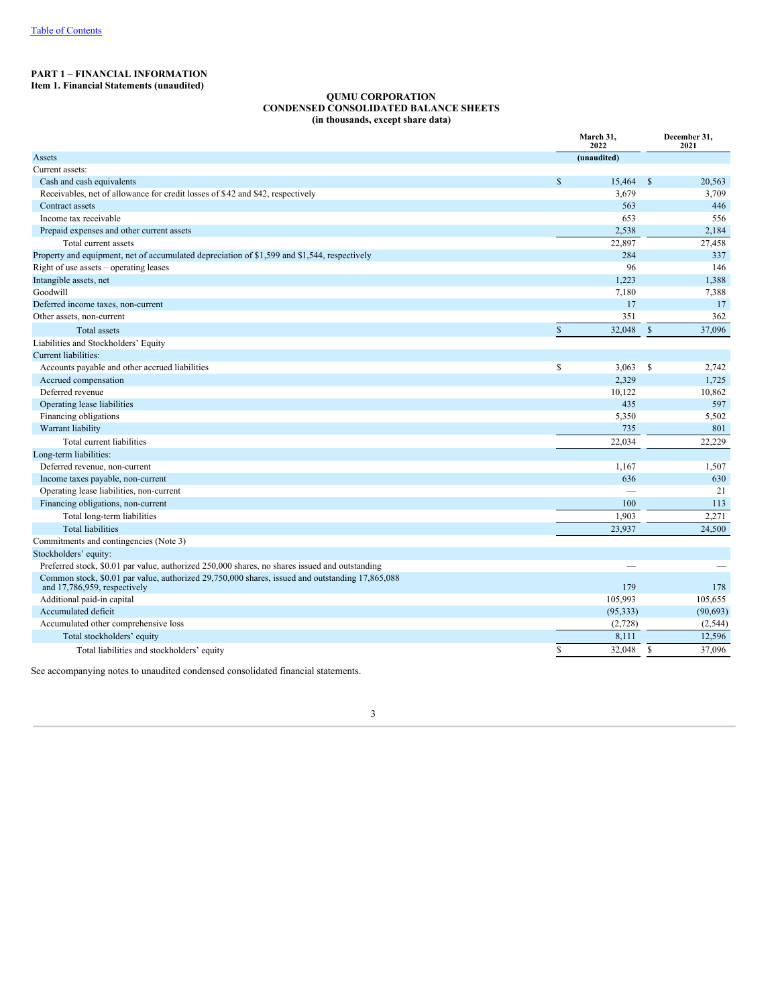## <span id="page-2-1"></span><span id="page-2-0"></span>**PART 1 – FINANCIAL INFORMATION Item 1. Financial Statements (unaudited)**

## **QUMU CORPORATION CONDENSED CONSOLIDATED BALANCE SHEETS (in thousands, except share data)**

|                                                                                                 |              | March 31,<br>2022 |               | December 31,<br>2021 |
|-------------------------------------------------------------------------------------------------|--------------|-------------------|---------------|----------------------|
| Assets                                                                                          |              | (unaudited)       |               |                      |
| Current assets:                                                                                 |              |                   |               |                      |
| Cash and cash equivalents                                                                       | $\mathbb{S}$ | 15,464            | $^{\circ}$    | 20.563               |
| Receivables, net of allowance for credit losses of \$42 and \$42, respectively                  |              | 3,679             |               | 3,709                |
| Contract assets                                                                                 |              | 563               |               | 446                  |
| Income tax receivable                                                                           |              | 653               |               | 556                  |
| Prepaid expenses and other current assets                                                       |              | 2,538             |               | 2,184                |
| Total current assets                                                                            |              | 22,897            |               | 27,458               |
| Property and equipment, net of accumulated depreciation of \$1,599 and \$1,544, respectively    |              | 284               |               | 337                  |
| Right of use assets – operating leases                                                          |              | 96                |               | 146                  |
| Intangible assets, net                                                                          |              | 1,223             |               | 1,388                |
| Goodwill                                                                                        |              | 7,180             |               | 7,388                |
| Deferred income taxes, non-current                                                              |              | 17                |               | 17                   |
| Other assets, non-current                                                                       |              | 351               |               | 362                  |
| <b>Total</b> assets                                                                             | $\mathbb{S}$ | 32,048            | $\mathbb{S}$  | 37,096               |
| Liabilities and Stockholders' Equity                                                            |              |                   |               |                      |
| <b>Current liabilities:</b>                                                                     |              |                   |               |                      |
| Accounts payable and other accrued liabilities                                                  | \$           | 3,063             | $\mathbb{S}$  | 2,742                |
| Accrued compensation                                                                            |              | 2.329             |               | 1,725                |
| Deferred revenue                                                                                |              | 10,122            |               | 10,862               |
| Operating lease liabilities                                                                     |              | 435               |               | 597                  |
| Financing obligations                                                                           |              | 5,350             |               | 5,502                |
| Warrant liability                                                                               |              | 735               |               | 801                  |
| Total current liabilities                                                                       |              | 22,034            |               | 22,229               |
| Long-term liabilities:                                                                          |              |                   |               |                      |
| Deferred revenue, non-current                                                                   |              | 1,167             |               | 1,507                |
| Income taxes payable, non-current                                                               |              | 636               |               | 630                  |
| Operating lease liabilities, non-current                                                        |              |                   |               | 21                   |
| Financing obligations, non-current                                                              |              | 100               |               | 113                  |
| Total long-term liabilities                                                                     |              | 1.903             |               | 2.271                |
| <b>Total liabilities</b>                                                                        |              | 23,937            |               | 24,500               |
| Commitments and contingencies (Note 3)                                                          |              |                   |               |                      |
| Stockholders' equity:                                                                           |              |                   |               |                      |
| Preferred stock, \$0.01 par value, authorized 250,000 shares, no shares issued and outstanding  |              |                   |               |                      |
| Common stock, \$0.01 par value, authorized 29,750,000 shares, issued and outstanding 17,865,088 |              | 179               |               | 178                  |
| and 17,786,959, respectively<br>Additional paid-in capital                                      |              | 105,993           |               | 105,655              |
| Accumulated deficit                                                                             |              | (95, 333)         |               | (90, 693)            |
| Accumulated other comprehensive loss                                                            |              | (2,728)           |               | (2, 544)             |
| Total stockholders' equity                                                                      |              | 8,111             |               | 12,596               |
|                                                                                                 | $\mathbf S$  |                   | <sup>\$</sup> |                      |
| Total liabilities and stockholders' equity                                                      |              | 32,048            |               | 37,096               |

<span id="page-2-2"></span>See accompanying notes to unaudited condensed consolidated financial statements.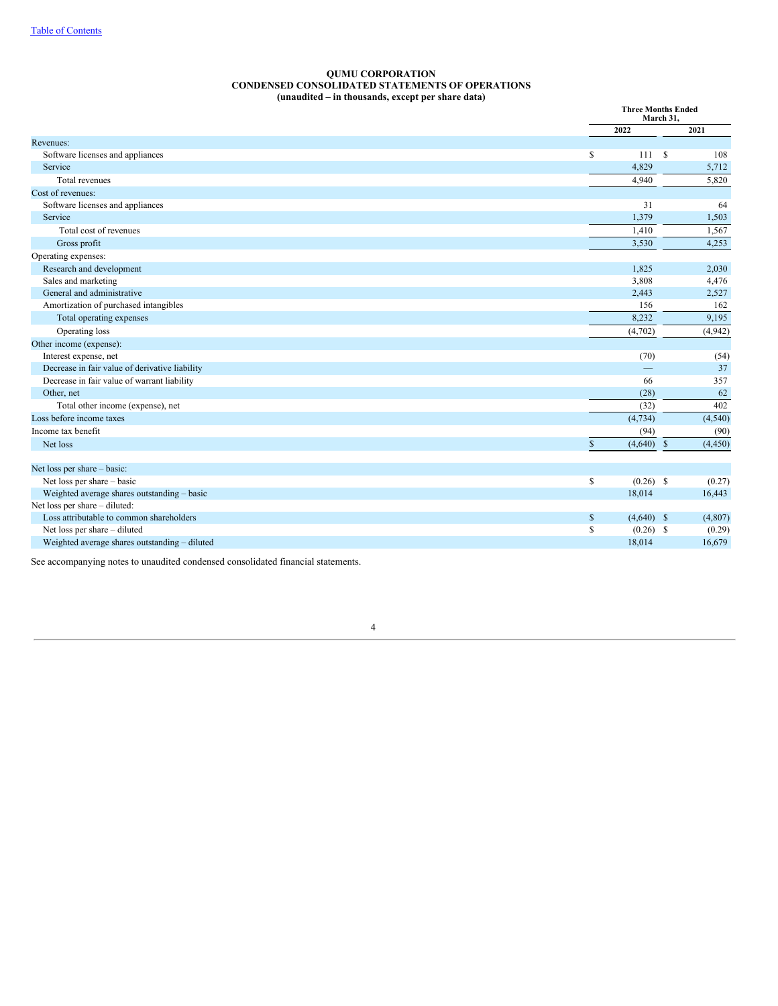### **QUMU CORPORATION CONDENSED CONSOLIDATED STATEMENTS OF OPERATIONS (unaudited – in thousands, except per share data)**

|                                                |  |              | <b>Three Months Ended</b> | March 31.    |          |
|------------------------------------------------|--|--------------|---------------------------|--------------|----------|
|                                                |  |              | 2022                      |              | 2021     |
| Revenues:                                      |  |              |                           |              |          |
| Software licenses and appliances               |  | S            | 111                       | <sup>S</sup> | 108      |
| Service                                        |  |              | 4,829                     |              | 5,712    |
| <b>Total revenues</b>                          |  |              | 4,940                     |              | 5,820    |
| Cost of revenues:                              |  |              |                           |              |          |
| Software licenses and appliances               |  |              | 31                        |              | 64       |
| Service                                        |  |              | 1,379                     |              | 1,503    |
| Total cost of revenues                         |  |              | 1,410                     |              | 1,567    |
| Gross profit                                   |  |              | 3,530                     |              | 4,253    |
| Operating expenses:                            |  |              |                           |              |          |
| Research and development                       |  |              | 1,825                     |              | 2,030    |
| Sales and marketing                            |  |              | 3,808                     |              | 4,476    |
| General and administrative                     |  |              | 2,443                     |              | 2,527    |
| Amortization of purchased intangibles          |  |              | 156                       |              | 162      |
| Total operating expenses                       |  |              | 8,232                     |              | 9,195    |
| Operating loss                                 |  |              | (4,702)                   |              | (4,942)  |
| Other income (expense):                        |  |              |                           |              |          |
| Interest expense, net                          |  |              | (70)                      |              | (54)     |
| Decrease in fair value of derivative liability |  |              |                           |              | 37       |
| Decrease in fair value of warrant liability    |  |              | 66                        |              | 357      |
| Other, net                                     |  |              | (28)                      |              | 62       |
| Total other income (expense), net              |  |              | (32)                      |              | 402      |
| Loss before income taxes                       |  |              | (4, 734)                  |              | (4,540)  |
| Income tax benefit                             |  |              | (94)                      |              | (90)     |
| Net loss                                       |  | $\mathsf{S}$ | $(4,640)$ \$              |              | (4, 450) |
| Net loss per share - basic:                    |  |              |                           |              |          |
| Net loss per share - basic                     |  | \$           | $(0.26)$ \$               |              | (0.27)   |
| Weighted average shares outstanding - basic    |  |              | 18,014                    |              | 16,443   |
| Net loss per share - diluted:                  |  |              |                           |              |          |
| Loss attributable to common shareholders       |  | \$           | $(4,640)$ \$              |              | (4,807)  |
| Net loss per share - diluted                   |  | \$           | $(0.26)$ \$               |              | (0.29)   |
| Weighted average shares outstanding – diluted  |  |              | 18,014                    |              | 16,679   |

<span id="page-3-0"></span>See accompanying notes to unaudited condensed consolidated financial statements.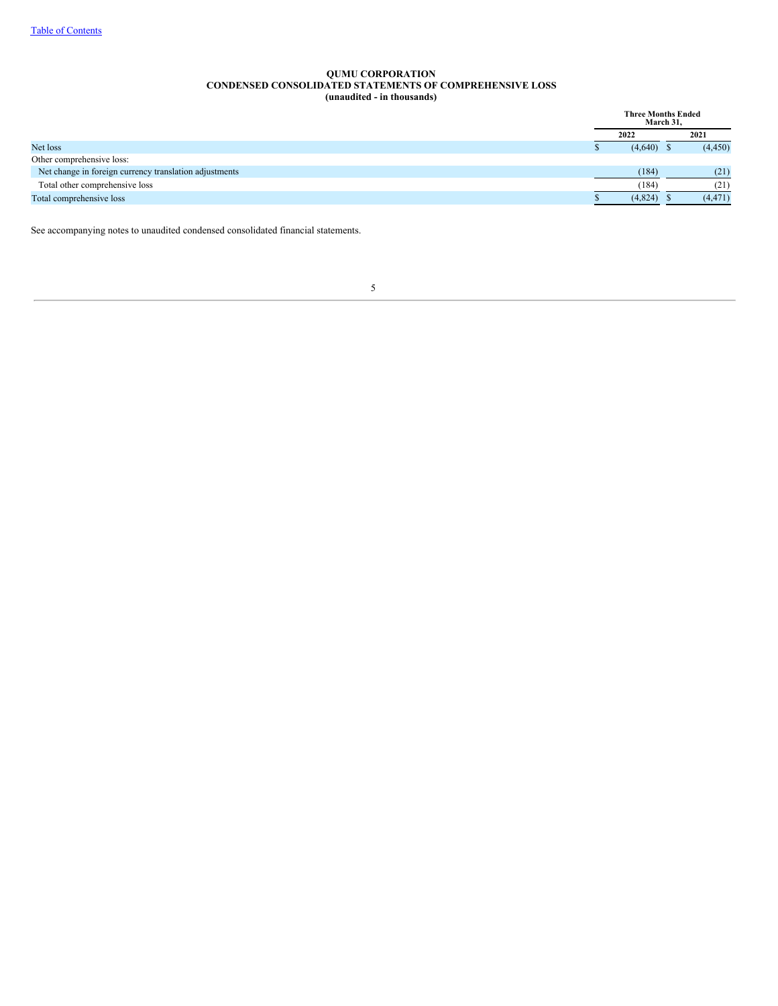### **QUMU CORPORATION CONDENSED CONSOLIDATED STATEMENTS OF COMPREHENSIVE LOSS (unaudited - in thousands)**

|                                                        |         | <b>Three Months Ended</b><br>March 31. |
|--------------------------------------------------------|---------|----------------------------------------|
|                                                        | 2022    | 2021                                   |
| Net loss                                               | (4,640) | (4, 450)                               |
| Other comprehensive loss:                              |         |                                        |
| Net change in foreign currency translation adjustments | (184)   | (21)                                   |
| Total other comprehensive loss                         | (184)   | (21)                                   |
| Total comprehensive loss                               | (4,824) | (4, 471)                               |

<span id="page-4-0"></span>See accompanying notes to unaudited condensed consolidated financial statements.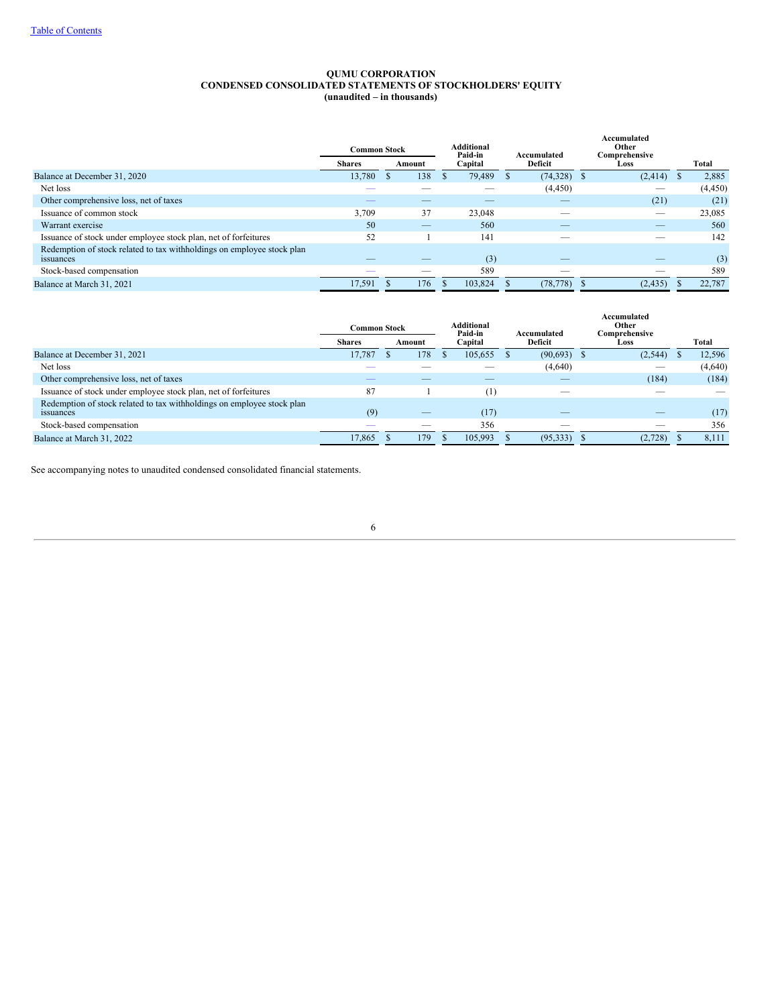## **QUMU CORPORATION CONDENSED CONSOLIDATED STATEMENTS OF STOCKHOLDERS' EQUITY (unaudited – in thousands)**

|                                                                                     | <b>Common Stock</b> |  |        | <b>Additional</b><br>Paid-in |         |  | Accumulated |  | Accumulated<br>Other<br>Comprehensive |  |          |
|-------------------------------------------------------------------------------------|---------------------|--|--------|------------------------------|---------|--|-------------|--|---------------------------------------|--|----------|
|                                                                                     | <b>Shares</b>       |  | Amount |                              | Capital |  | Deficit     |  | Loss                                  |  | Total    |
| Balance at December 31, 2020                                                        | 13,780              |  | 138    |                              | 79,489  |  | (74, 328)   |  | (2, 414)                              |  | 2,885    |
| Net loss                                                                            |                     |  |        |                              |         |  | (4,450)     |  | $-$                                   |  | (4, 450) |
| Other comprehensive loss, net of taxes                                              | __                  |  |        |                              |         |  | __          |  | (21)                                  |  | (21)     |
| Issuance of common stock                                                            | 3,709               |  | 37     |                              | 23,048  |  |             |  |                                       |  | 23,085   |
| Warrant exercise                                                                    | 50                  |  |        |                              | 560     |  |             |  | $\overline{\phantom{a}}$              |  | 560      |
| Issuance of stock under employee stock plan, net of forfeitures                     | 52                  |  |        |                              | 141     |  |             |  | __                                    |  | 142      |
| Redemption of stock related to tax withholdings on employee stock plan<br>issuances |                     |  |        |                              | (3)     |  |             |  | __                                    |  | (3)      |
| Stock-based compensation                                                            |                     |  |        |                              | 589     |  |             |  |                                       |  | 589      |
| Balance at March 31, 2021                                                           | 17,591              |  | 176    | -D                           | 103.824 |  | (78, 778)   |  | (2, 435)                              |  | 22,787   |

|                                                                                     | <b>Common Stock</b> |  |        | <b>Additional</b><br>Paid-in |          |                | Accumulated |      | Accumulated<br>Other<br>Comprehensive |         |
|-------------------------------------------------------------------------------------|---------------------|--|--------|------------------------------|----------|----------------|-------------|------|---------------------------------------|---------|
|                                                                                     | <b>Shares</b>       |  | Amount |                              | Capital  | <b>Deficit</b> |             | Loss |                                       | Total   |
| Balance at December 31, 2021                                                        | 17.787              |  | 178    |                              | 105,655  |                | (90,693)    |      | (2,544)                               | 12,596  |
| Net loss                                                                            |                     |  |        |                              |          |                | (4,640)     |      |                                       | (4,640) |
| Other comprehensive loss, net of taxes                                              |                     |  |        |                              |          |                |             |      | (184)                                 | (184)   |
| Issuance of stock under employee stock plan, net of forfeitures                     | 87                  |  |        |                              | $^{(1)}$ |                |             |      |                                       |         |
| Redemption of stock related to tax withholdings on employee stock plan<br>issuances | (9)                 |  |        |                              | (17)     |                |             |      |                                       | (17)    |
| Stock-based compensation                                                            | __                  |  |        |                              | 356      |                | __          |      | __                                    | 356     |
| Balance at March 31, 2022                                                           | 17,865              |  | 179    |                              | 105,993  |                | (95, 333)   |      | (2,728)                               | 8,111   |

<span id="page-5-0"></span>See accompanying notes to unaudited condensed consolidated financial statements.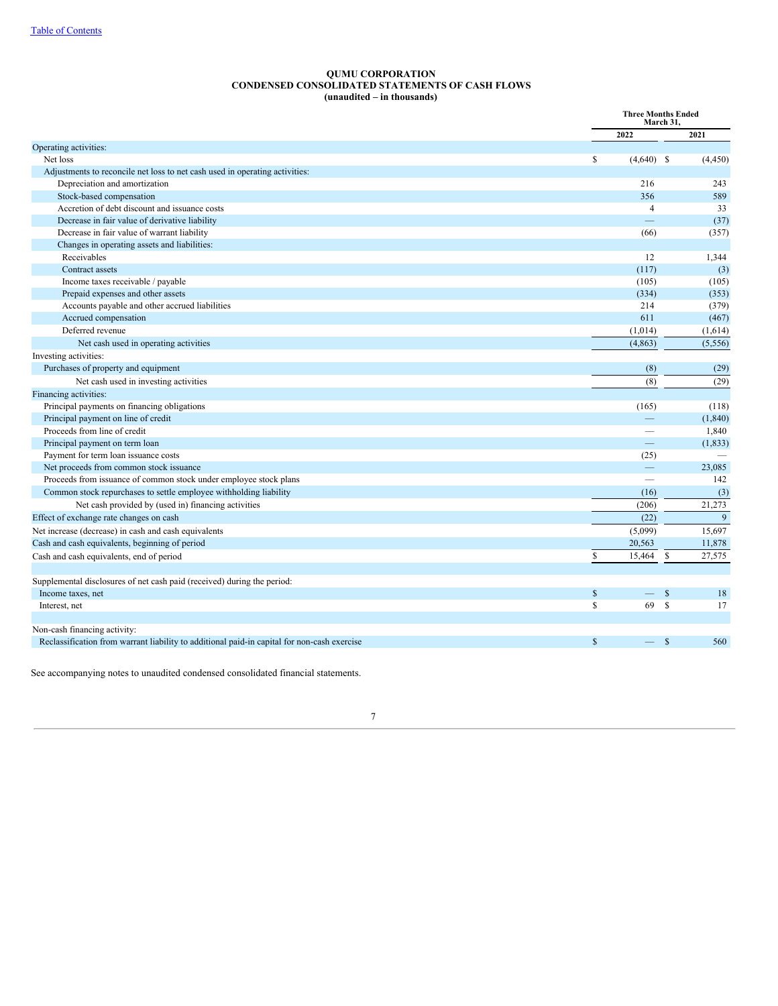#### **QUMU CORPORATION CONDENSED CONSOLIDATED STATEMENTS OF CASH FLOWS (unaudited – in thousands)**

|                                                                                             |                          | <b>Three Months Ended</b><br>March 31. |
|---------------------------------------------------------------------------------------------|--------------------------|----------------------------------------|
|                                                                                             | 2022                     | 2021                                   |
| Operating activities:                                                                       |                          |                                        |
| Net loss                                                                                    | \$<br>$(4,640)$ \$       | (4, 450)                               |
| Adjustments to reconcile net loss to net cash used in operating activities:                 |                          |                                        |
| Depreciation and amortization                                                               | 216                      | 243                                    |
| Stock-based compensation                                                                    | 356                      | 589                                    |
| Accretion of debt discount and issuance costs                                               | $\overline{4}$           | 33                                     |
| Decrease in fair value of derivative liability                                              |                          | (37)                                   |
| Decrease in fair value of warrant liability                                                 | (66)                     | (357)                                  |
| Changes in operating assets and liabilities:                                                |                          |                                        |
| Receivables                                                                                 | 12                       | 1,344                                  |
| Contract assets                                                                             | (117)                    | (3)                                    |
| Income taxes receivable / payable                                                           | (105)                    | (105)                                  |
| Prepaid expenses and other assets                                                           | (334)                    | (353)                                  |
| Accounts payable and other accrued liabilities                                              | 214                      | (379)                                  |
| Accrued compensation                                                                        | 611                      | (467)                                  |
| Deferred revenue                                                                            | (1,014)                  | (1,614)                                |
| Net cash used in operating activities                                                       | (4, 863)                 | (5,556)                                |
| Investing activities:                                                                       |                          |                                        |
| Purchases of property and equipment                                                         | (8)                      | (29)                                   |
| Net cash used in investing activities                                                       | (8)                      | (29)                                   |
| Financing activities:                                                                       |                          |                                        |
| Principal payments on financing obligations                                                 | (165)                    | (118)                                  |
| Principal payment on line of credit                                                         |                          | (1, 840)                               |
| Proceeds from line of credit                                                                |                          | 1,840                                  |
| Principal payment on term loan                                                              | $\overline{\phantom{0}}$ | (1, 833)                               |
| Payment for term loan issuance costs                                                        | (25)                     | $\sim$                                 |
| Net proceeds from common stock issuance                                                     |                          | 23,085                                 |
| Proceeds from issuance of common stock under employee stock plans                           | $\overline{\phantom{0}}$ | 142                                    |
| Common stock repurchases to settle employee withholding liability                           | (16)                     | (3)                                    |
| Net cash provided by (used in) financing activities                                         | (206)                    | 21,273                                 |
| Effect of exchange rate changes on cash                                                     | (22)                     | 9                                      |
| Net increase (decrease) in cash and cash equivalents                                        | (5,099)                  | 15,697                                 |
| Cash and cash equivalents, beginning of period                                              | 20,563                   | 11,878                                 |
| Cash and cash equivalents, end of period                                                    | \$<br>15,464             | $\mathbf S$<br>27.575                  |
|                                                                                             |                          |                                        |
| Supplemental disclosures of net cash paid (received) during the period:                     |                          |                                        |
| Income taxes, net                                                                           | \$                       | - \$<br>18                             |
| Interest, net                                                                               | \$<br>69                 | $\mathbf{s}$<br>17                     |
|                                                                                             |                          |                                        |
| Non-cash financing activity:                                                                |                          |                                        |
| Reclassification from warrant liability to additional paid-in capital for non-cash exercise | \$                       | - \$<br>560                            |

<span id="page-6-0"></span>See accompanying notes to unaudited condensed consolidated financial statements.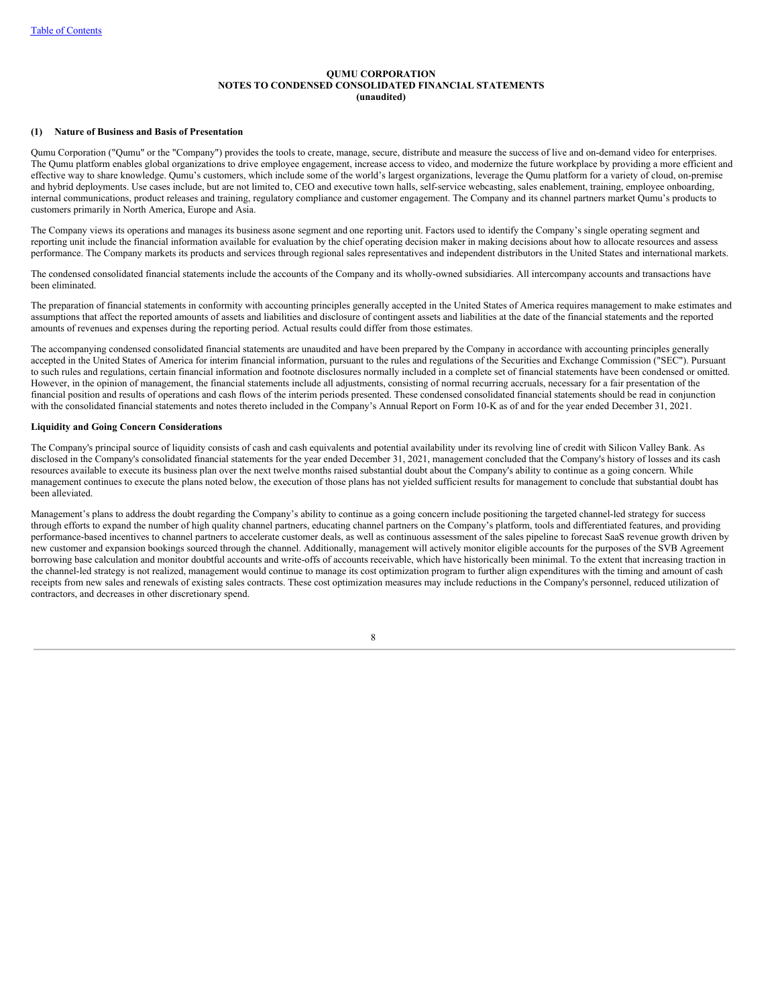#### **QUMU CORPORATION NOTES TO CONDENSED CONSOLIDATED FINANCIAL STATEMENTS (unaudited)**

## **(1) Nature of Business and Basis of Presentation**

Qumu Corporation ("Qumu" or the "Company") provides the tools to create, manage, secure, distribute and measure the success of live and on-demand video for enterprises. The Qumu platform enables global organizations to drive employee engagement, increase access to video, and modernize the future workplace by providing a more efficient and effective way to share knowledge. Qumu's customers, which include some of the world's largest organizations, leverage the Qumu platform for a variety of cloud, on-premise and hybrid deployments. Use cases include, but are not limited to, CEO and executive town halls, self-service webcasting, sales enablement, training, employee onboarding, internal communications, product releases and training, regulatory compliance and customer engagement. The Company and its channel partners market Qumu's products to customers primarily in North America, Europe and Asia.

The Company views its operations and manages its business asone segment and one reporting unit. Factors used to identify the Company's single operating segment and reporting unit include the financial information available for evaluation by the chief operating decision maker in making decisions about how to allocate resources and assess performance. The Company markets its products and services through regional sales representatives and independent distributors in the United States and international markets.

The condensed consolidated financial statements include the accounts of the Company and its wholly-owned subsidiaries. All intercompany accounts and transactions have been eliminated.

The preparation of financial statements in conformity with accounting principles generally accepted in the United States of America requires management to make estimates and assumptions that affect the reported amounts of assets and liabilities and disclosure of contingent assets and liabilities at the date of the financial statements and the reported amounts of revenues and expenses during the reporting period. Actual results could differ from those estimates.

The accompanying condensed consolidated financial statements are unaudited and have been prepared by the Company in accordance with accounting principles generally accepted in the United States of America for interim financial information, pursuant to the rules and regulations of the Securities and Exchange Commission ("SEC"). Pursuant to such rules and regulations, certain financial information and footnote disclosures normally included in a complete set of financial statements have been condensed or omitted. However, in the opinion of management, the financial statements include all adjustments, consisting of normal recurring accruals, necessary for a fair presentation of the financial position and results of operations and cash flows of the interim periods presented. These condensed consolidated financial statements should be read in conjunction with the consolidated financial statements and notes thereto included in the Company's Annual Report on Form 10-K as of and for the year ended December 31, 2021.

### **Liquidity and Going Concern Considerations**

The Company's principal source of liquidity consists of cash and cash equivalents and potential availability under its revolving line of credit with Silicon Valley Bank. As disclosed in the Company's consolidated financial statements for the year ended December 31, 2021, management concluded that the Company's history of losses and its cash resources available to execute its business plan over the next twelve months raised substantial doubt about the Company's ability to continue as a going concern. While management continues to execute the plans noted below, the execution of those plans has not yielded sufficient results for management to conclude that substantial doubt has been alleviated.

Management's plans to address the doubt regarding the Company's ability to continue as a going concern include positioning the targeted channel-led strategy for success through efforts to expand the number of high quality channel partners, educating channel partners on the Company's platform, tools and differentiated features, and providing performance-based incentives to channel partners to accelerate customer deals, as well as continuous assessment of the sales pipeline to forecast SaaS revenue growth driven by new customer and expansion bookings sourced through the channel. Additionally, management will actively monitor eligible accounts for the purposes of the SVB Agreement borrowing base calculation and monitor doubtful accounts and write-offs of accounts receivable, which have historically been minimal. To the extent that increasing traction in the channel-led strategy is not realized, management would continue to manage its cost optimization program to further align expenditures with the timing and amount of cash receipts from new sales and renewals of existing sales contracts. These cost optimization measures may include reductions in the Company's personnel, reduced utilization of contractors, and decreases in other discretionary spend.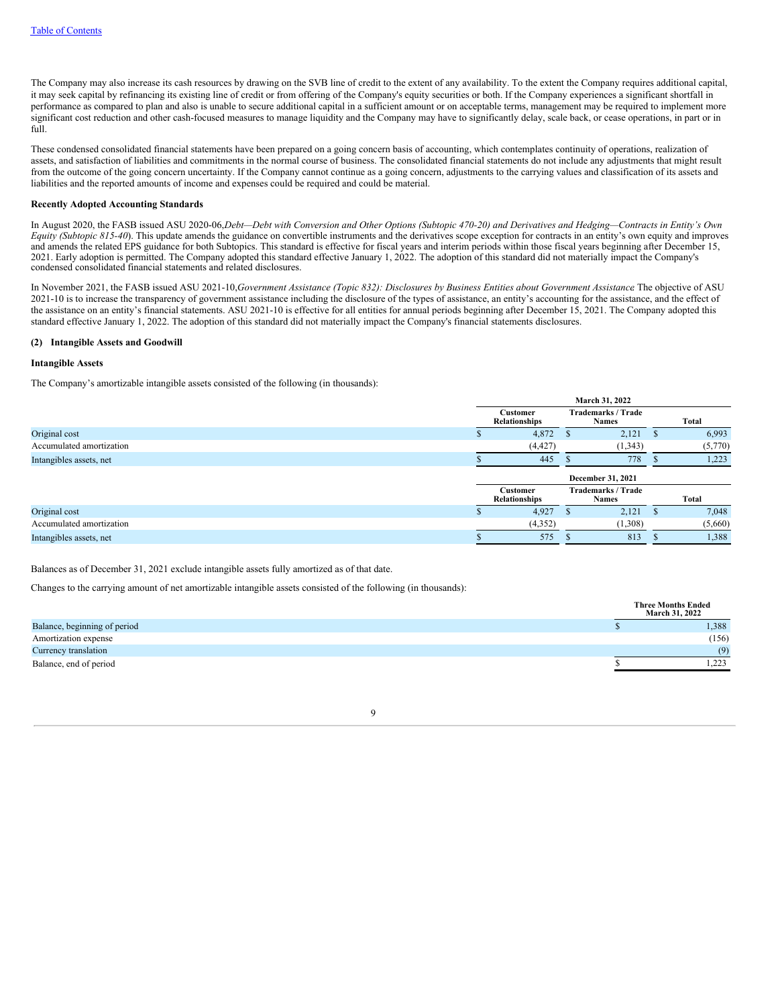The Company may also increase its cash resources by drawing on the SVB line of credit to the extent of any availability. To the extent the Company requires additional capital, it may seek capital by refinancing its existing line of credit or from offering of the Company's equity securities or both. If the Company experiences a significant shortfall in performance as compared to plan and also is unable to secure additional capital in a sufficient amount or on acceptable terms, management may be required to implement more significant cost reduction and other cash-focused measures to manage liquidity and the Company may have to significantly delay, scale back, or cease operations, in part or in full.

These condensed consolidated financial statements have been prepared on a going concern basis of accounting, which contemplates continuity of operations, realization of assets, and satisfaction of liabilities and commitments in the normal course of business. The consolidated financial statements do not include any adjustments that might result from the outcome of the going concern uncertainty. If the Company cannot continue as a going concern, adjustments to the carrying values and classification of its assets and liabilities and the reported amounts of income and expenses could be required and could be material.

#### **Recently Adopted Accounting Standards**

In August 2020, the FASB issued ASU 2020-06, Debt—Debt with Conversion and Other Options (Subtopic 470-20) and Derivatives and Hedging-Contracts in Entity's Own *Equity (Subtopic 815-40*). This update amends the guidance on convertible instruments and the derivatives scope exception for contracts in an entity's own equity and improves and amends the related EPS guidance for both Subtopics. This standard is effective for fiscal years and interim periods within those fiscal years beginning after December 15, 2021. Early adoption is permitted. The Company adopted this standard effective January 1, 2022. The adoption of this standard did not materially impact the Company's condensed consolidated financial statements and related disclosures.

In November 2021, the FASB issued ASU 2021-10, Government Assistance (Topic 832): Disclosures by Business Entities about Government Assistance The objective of ASU 2021-10 is to increase the transparency of government assistance including the disclosure of the types of assistance, an entity's accounting for the assistance, and the effect of the assistance on an entity's financial statements. ASU 2021-10 is effective for all entities for annual periods beginning after December 15, 2021. The Company adopted this standard effective January 1, 2022. The adoption of this standard did not materially impact the Company's financial statements disclosures.

## **(2) Intangible Assets and Goodwill**

## **Intangible Assets**

The Company's amortizable intangible assets consisted of the following (in thousands):

|                          | March 31, 2022            |          |                                    |                                           |       |         |  |
|--------------------------|---------------------------|----------|------------------------------------|-------------------------------------------|-------|---------|--|
|                          | Customer<br>Relationships |          | Trademarks / Trade<br><b>Names</b> |                                           |       | Total   |  |
| Original cost            |                           | 4,872    | S                                  | 2,121                                     |       | 6,993   |  |
| Accumulated amortization |                           | (4, 427) |                                    | (1, 343)                                  |       | (5,770) |  |
| Intangibles assets, net  |                           | 445      |                                    | 778                                       |       | 1,223   |  |
|                          |                           |          |                                    | December 31, 2021                         |       |         |  |
|                          | Customer<br>Relationships |          |                                    | <b>Trademarks / Trade</b><br><b>Names</b> | Total |         |  |
| Original cost            |                           | 4,927    | <sup>8</sup>                       | 2,121                                     |       | 7,048   |  |
| Accumulated amortization |                           | (4,352)  |                                    | (1,308)                                   |       | (5,660) |  |
| Intangibles assets, net  |                           | 575      |                                    | 813                                       |       | 1,388   |  |
|                          |                           |          |                                    |                                           |       |         |  |

Balances as of December 31, 2021 exclude intangible assets fully amortized as of that date.

Changes to the carrying amount of net amortizable intangible assets consisted of the following (in thousands):

|                              | <b>Three Months Ended</b><br><b>March 31, 2022</b> |
|------------------------------|----------------------------------------------------|
| Balance, beginning of period | .388                                               |
| Amortization expense         | (156)                                              |
| Currency translation         | (9)                                                |
| Balance, end of period       | .223                                               |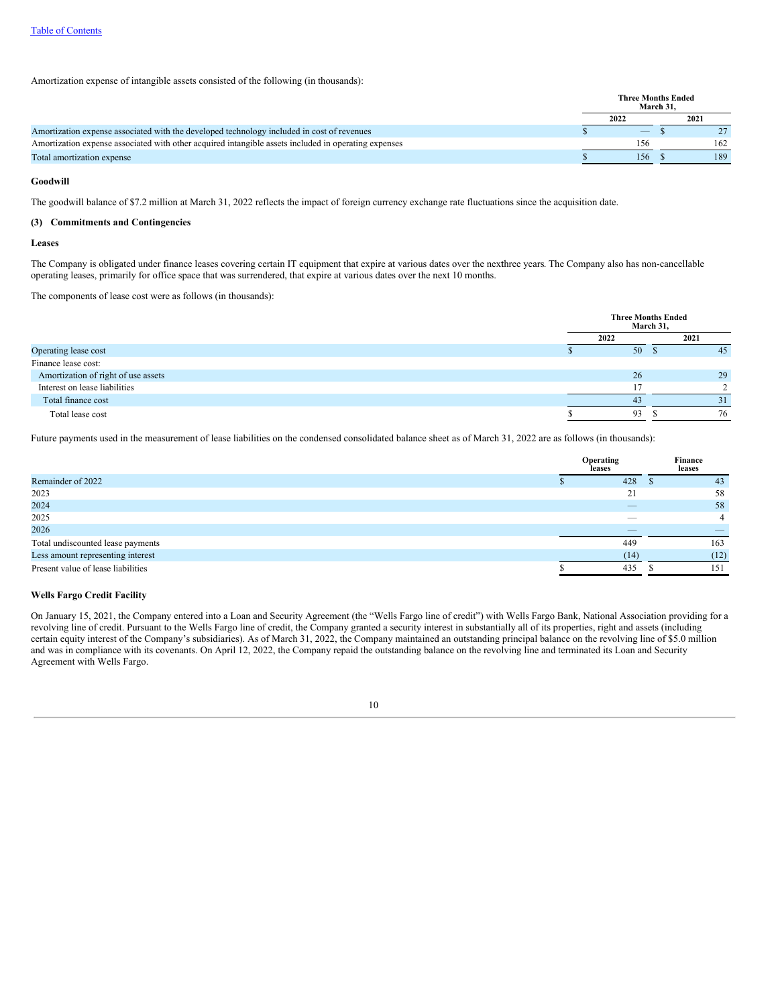Amortization expense of intangible assets consisted of the following (in thousands):

|                                                                                                      | <b>Three Months Ended</b><br>March 31. |      |  |      |
|------------------------------------------------------------------------------------------------------|----------------------------------------|------|--|------|
|                                                                                                      | 2022                                   |      |  | 2021 |
| Amortization expense associated with the developed technology included in cost of revenues           |                                        |      |  |      |
| Amortization expense associated with other acquired intangible assets included in operating expenses |                                        | 156  |  | 162  |
| Total amortization expense                                                                           |                                        | 156. |  | 189  |
|                                                                                                      |                                        |      |  |      |

## **Goodwill**

The goodwill balance of \$7.2 million at March 31, 2022 reflects the impact of foreign currency exchange rate fluctuations since the acquisition date.

## **(3) Commitments and Contingencies**

#### **Leases**

The Company is obligated under finance leases covering certain IT equipment that expire at various dates over the nexthree years. The Company also has non-cancellable operating leases, primarily for office space that was surrendered, that expire at various dates over the next 10 months.

The components of lease cost were as follows (in thousands):

|                                     |      | <b>Three Months Ended</b><br>March 31, |
|-------------------------------------|------|----------------------------------------|
|                                     | 2022 | 2021                                   |
| Operating lease cost                |      | 50<br>45                               |
| Finance lease cost:                 |      |                                        |
| Amortization of right of use assets | 26   | 29                                     |
| Interest on lease liabilities       |      |                                        |
| Total finance cost                  | 43   | 31                                     |
| Total lease cost                    | 93   | 76                                     |

Future payments used in the measurement of lease liabilities on the condensed consolidated balance sheet as of March 31, 2022 are as follows (in thousands):

|                                    | Operating<br>leases      |  | Finance<br>leases |  |
|------------------------------------|--------------------------|--|-------------------|--|
| Remainder of 2022                  | 428                      |  | 43                |  |
| 2023                               | 21                       |  | 58                |  |
| 2024                               | $\overline{\phantom{a}}$ |  | 58                |  |
| 2025                               | __                       |  | 4                 |  |
| 2026                               |                          |  |                   |  |
| Total undiscounted lease payments  | 449                      |  | 163               |  |
| Less amount representing interest  | (14)                     |  | (12)              |  |
| Present value of lease liabilities | 435                      |  | 151               |  |

## **Wells Fargo Credit Facility**

On January 15, 2021, the Company entered into a Loan and Security Agreement (the "Wells Fargo line of credit") with Wells Fargo Bank, National Association providing for a revolving line of credit. Pursuant to the Wells Fargo line of credit, the Company granted a security interest in substantially all of its properties, right and assets (including certain equity interest of the Company's subsidiaries). As of March 31, 2022, the Company maintained an outstanding principal balance on the revolving line of \$5.0 million and was in compliance with its covenants. On April 12, 2022, the Company repaid the outstanding balance on the revolving line and terminated its Loan and Security Agreement with Wells Fargo.

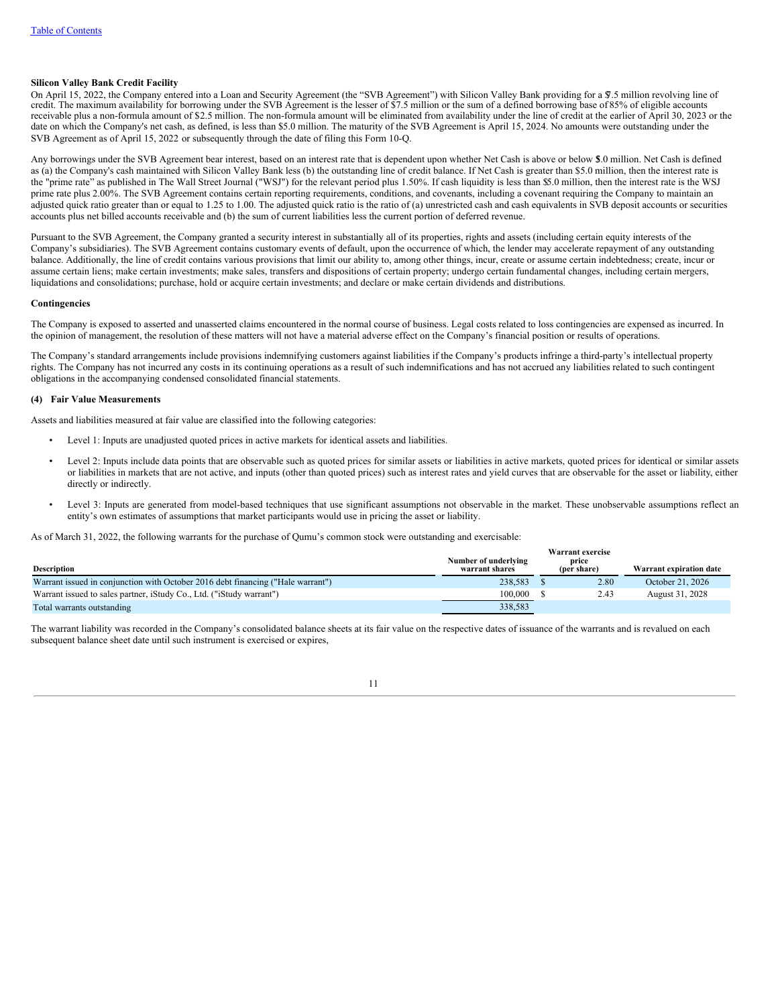#### **Silicon Valley Bank Credit Facility**

On April 15, 2022, the Company entered into a Loan and Security Agreement (the "SVB Agreement") with Silicon Valley Bank providing for a \$7.5 million revolving line of credit. The maximum availability for borrowing under the SVB Agreement is the lesser of \$7.5 million or the sum of a defined borrowing base of 85% of eligible accounts receivable plus a non-formula amount of \$2.5 million. The non-formula amount will be eliminated from availability under the line of credit at the earlier of April 30, 2023 or the date on which the Company's net cash, as defined, is less than \$5.0 million. The maturity of the SVB Agreement is April 15, 2024. No amounts were outstanding under the SVB Agreement as of April 15, 2022 or subsequently through the date of filing this Form 10-Q.

Any borrowings under the SVB Agreement bear interest, based on an interest rate that is dependent upon whether Net Cash is above or below \$.0 million. Net Cash is defined as (a) the Company's cash maintained with Silicon Valley Bank less (b) the outstanding line of credit balance. If Net Cash is greater than \$5.0 million, then the interest rate is the "prime rate" as published in The Wall Street Journal ("WSJ") for the relevant period plus 1.50%. If cash liquidity is less than \$5.0 million, then the interest rate is the WSJ prime rate plus 2.00%. The SVB Agreement contains certain reporting requirements, conditions, and covenants, including a covenant requiring the Company to maintain an adjusted quick ratio greater than or equal to 1.25 to 1.00. The adjusted quick ratio is the ratio of (a) unrestricted cash and cash equivalents in SVB deposit accounts or securities accounts plus net billed accounts receivable and (b) the sum of current liabilities less the current portion of deferred revenue.

Pursuant to the SVB Agreement, the Company granted a security interest in substantially all of its properties, rights and assets (including certain equity interests of the Company's subsidiaries). The SVB Agreement contains customary events of default, upon the occurrence of which, the lender may accelerate repayment of any outstanding balance. Additionally, the line of credit contains various provisions that limit our ability to, among other things, incur, create or assume certain indebtedness; create, incur or assume certain liens; make certain investments; make sales, transfers and dispositions of certain property; undergo certain fundamental changes, including certain mergers, liquidations and consolidations; purchase, hold or acquire certain investments; and declare or make certain dividends and distributions.

#### **Contingencies**

The Company is exposed to asserted and unasserted claims encountered in the normal course of business. Legal costs related to loss contingencies are expensed as incurred. In the opinion of management, the resolution of these matters will not have a material adverse effect on the Company's financial position or results of operations.

The Company's standard arrangements include provisions indemnifying customers against liabilities if the Company's products infringe a third-party's intellectual property rights. The Company has not incurred any costs in its continuing operations as a result of such indemnifications and has not accrued any liabilities related to such contingent obligations in the accompanying condensed consolidated financial statements.

## **(4) Fair Value Measurements**

Assets and liabilities measured at fair value are classified into the following categories:

- Level 1: Inputs are unadjusted quoted prices in active markets for identical assets and liabilities.
- Level 2: Inputs include data points that are observable such as quoted prices for similar assets or liabilities in active markets, quoted prices for identical or similar assets or liabilities in markets that are not active, and inputs (other than quoted prices) such as interest rates and yield curves that are observable for the asset or liability, either directly or indirectly.
- Level 3: Inputs are generated from model-based techniques that use significant assumptions not observable in the market. These unobservable assumptions reflect an entity's own estimates of assumptions that market participants would use in pricing the asset or liability.

As of March 31, 2022, the following warrants for the purchase of Qumu's common stock were outstanding and exercisable:

| <b>Description</b>                                                              | Number of underlying<br>warrant shares | Warrant exercise<br>price<br>(per share) | Warrant expiration date |
|---------------------------------------------------------------------------------|----------------------------------------|------------------------------------------|-------------------------|
| Warrant issued in conjunction with October 2016 debt financing ("Hale warrant") | 238,583                                | 2.80                                     | October 21, 2026        |
| Warrant issued to sales partner, iStudy Co., Ltd. ("iStudy warrant")            | 100,000                                | 2.43                                     | August 31, 2028         |
| Total warrants outstanding                                                      | 338.583                                |                                          |                         |

The warrant liability was recorded in the Company's consolidated balance sheets at its fair value on the respective dates of issuance of the warrants and is revalued on each subsequent balance sheet date until such instrument is exercised or expires,

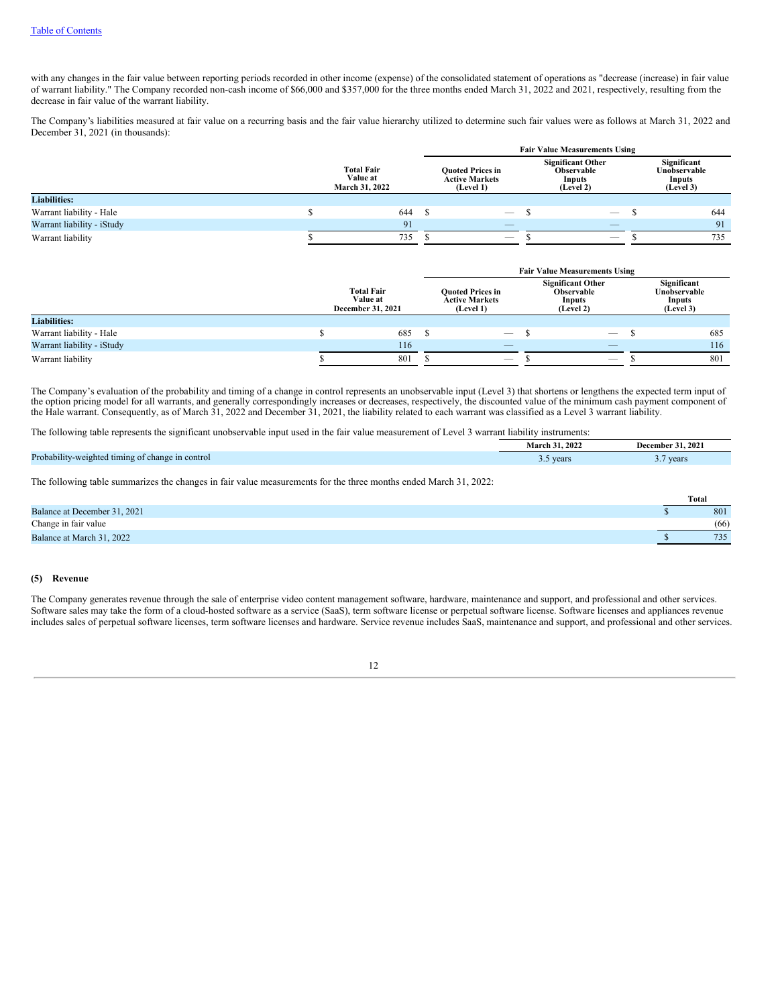with any changes in the fair value between reporting periods recorded in other income (expense) of the consolidated statement of operations as "decrease (increase) in fair value of warrant liability." The Company recorded non-cash income of \$66,000 and \$357,000 for the three months ended March 31, 2022 and 2021, respectively, resulting from the decrease in fair value of the warrant liability.

The Company's liabilities measured at fair value on a recurring basis and the fair value hierarchy utilized to determine such fair values were as follows at March 31, 2022 and December 31, 2021 (in thousands):

|                            |                                                        | <b>Fair Value Measurements Using</b> |                                                               |  |                                                                      |  |                                                           |
|----------------------------|--------------------------------------------------------|--------------------------------------|---------------------------------------------------------------|--|----------------------------------------------------------------------|--|-----------------------------------------------------------|
|                            | <b>Total Fair</b><br>Value at<br><b>March 31, 2022</b> |                                      | <b>Ouoted Prices in</b><br><b>Active Markets</b><br>(Level 1) |  | <b>Significant Other</b><br><b>Observable</b><br>Inputs<br>(Level 2) |  | Significant<br>Unobservable<br><b>Inputs</b><br>(Level 3) |
| <b>Liabilities:</b>        |                                                        |                                      |                                                               |  |                                                                      |  |                                                           |
| Warrant liability - Hale   | 644                                                    |                                      |                                                               |  | $\overline{\phantom{m}}$                                             |  | 644                                                       |
| Warrant liability - iStudy | 91                                                     |                                      |                                                               |  | __                                                                   |  | 91                                                        |
| Warrant liability          | 735                                                    |                                      |                                                               |  | $\overline{\phantom{m}}$                                             |  | 735                                                       |

|                            |                                                    | <b>Fair Value Measurements Using</b>                          |  |                                                                      |  |                                                    |  |
|----------------------------|----------------------------------------------------|---------------------------------------------------------------|--|----------------------------------------------------------------------|--|----------------------------------------------------|--|
|                            | <b>Total Fair</b><br>Value at<br>December 31, 2021 | <b>Ouoted Prices in</b><br><b>Active Markets</b><br>(Level 1) |  | <b>Significant Other</b><br><b>Observable</b><br>Inputs<br>(Level 2) |  | Significant<br>Unobservable<br>Inputs<br>(Level 3) |  |
| <b>Liabilities:</b>        |                                                    |                                                               |  |                                                                      |  |                                                    |  |
| Warrant liability - Hale   | 685                                                | $\overline{\phantom{m}}$                                      |  | $\overline{\phantom{m}}$                                             |  | 685                                                |  |
| Warrant liability - iStudy | 116                                                |                                                               |  |                                                                      |  | 116                                                |  |
| Warrant liability          | 801                                                | $\overline{\phantom{m}}$                                      |  | $\overline{\phantom{m}}$                                             |  | 801                                                |  |

The Company's evaluation of the probability and timing of a change in control represents an unobservable input (Level 3) that shortens or lengthens the expected term input of the option pricing model for all warrants, and generally correspondingly increases or decreases, respectively, the discounted value of the minimum cash payment component of the Hale warrant. Consequently, as of March 31, 2022 and December 31, 2021, the liability related to each warrant was classified as a Level 3 warrant liability.

The following table represents the significant unobservable input used in the fair value measurement of Level 3 warrant liability instruments:

| Probability-weighted timing of change in control<br>years<br>J.J | vears<br>$\sim$ |
|------------------------------------------------------------------|-----------------|

The following table summarizes the changes in fair value measurements for the three months ended March 31, 2022:

|                              | Total |
|------------------------------|-------|
| Balance at December 31, 2021 | 801   |
| Change in fair value         | (66)  |
| Balance at March 31, 2022    | 735   |

## **(5) Revenue**

The Company generates revenue through the sale of enterprise video content management software, hardware, maintenance and support, and professional and other services. Software sales may take the form of a cloud-hosted software as a service (SaaS), term software license or perpetual software license. Software licenses and appliances revenue includes sales of perpetual software licenses, term software licenses and hardware. Service revenue includes SaaS, maintenance and support, and professional and other services.

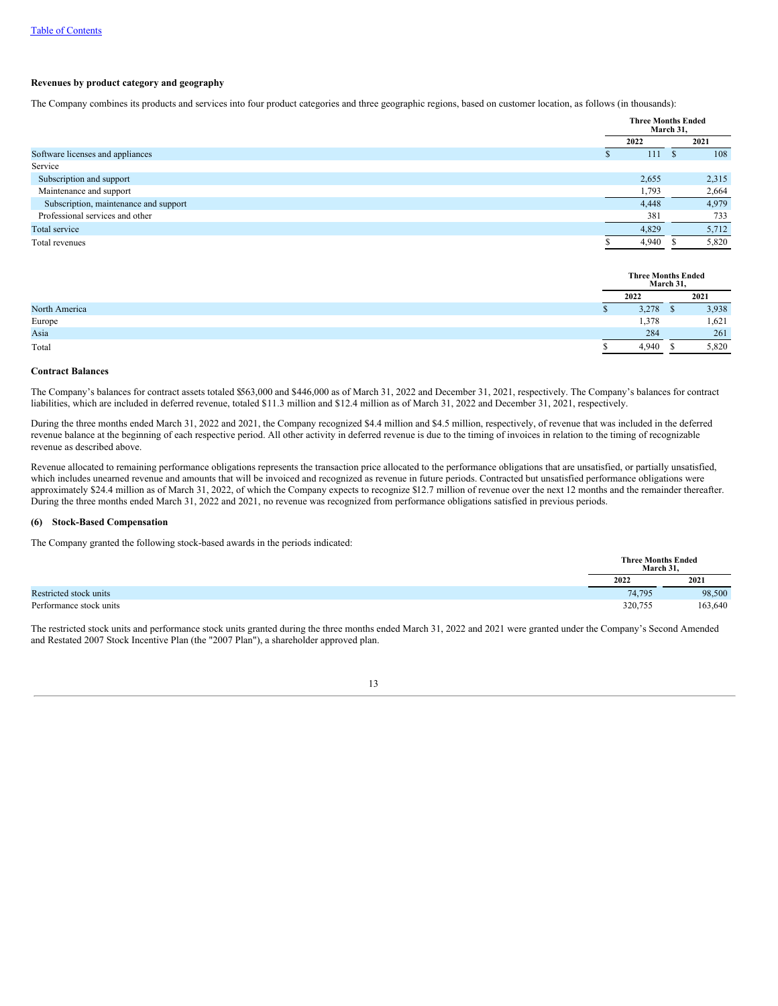## **Revenues by product category and geography**

The Company combines its products and services into four product categories and three geographic regions, based on customer location, as follows (in thousands):

|                                       | <b>Three Months Ended</b><br>March 31, |    |       |  |
|---------------------------------------|----------------------------------------|----|-------|--|
|                                       | 2022                                   |    | 2021  |  |
| Software licenses and appliances      | 111                                    | n. | 108   |  |
| Service                               |                                        |    |       |  |
| Subscription and support              | 2,655                                  |    | 2,315 |  |
| Maintenance and support               | 1,793                                  |    | 2,664 |  |
| Subscription, maintenance and support | 4,448                                  |    | 4,979 |  |
| Professional services and other       | 381                                    |    | 733   |  |
| Total service                         | 4,829                                  |    | 5,712 |  |
| Total revenues                        | 4,940                                  |    | 5,820 |  |

|               | <b>Three Months Ended</b> | March 31, |       |
|---------------|---------------------------|-----------|-------|
|               | 2022                      |           | 2021  |
| North America | 3,278                     | - D       | 3,938 |
| Europe        | 1,378                     |           | 1,621 |
| Asia          | 284                       |           | 261   |
| Total         | 4,940                     |           | 5,820 |

### **Contract Balances**

The Company's balances for contract assets totaled \$563,000 and \$446,000 as of March 31, 2022 and December 31, 2021, respectively. The Company's balances for contract liabilities, which are included in deferred revenue, totaled \$11.3 million and \$12.4 million as of March 31, 2022 and December 31, 2021, respectively.

During the three months ended March 31, 2022 and 2021, the Company recognized \$4.4 million and \$4.5 million, respectively, of revenue that was included in the deferred revenue balance at the beginning of each respective period. All other activity in deferred revenue is due to the timing of invoices in relation to the timing of recognizable revenue as described above.

Revenue allocated to remaining performance obligations represents the transaction price allocated to the performance obligations that are unsatisfied, or partially unsatisfied, which includes unearned revenue and amounts that will be invoiced and recognized as revenue in future periods. Contracted but unsatisfied performance obligations were approximately \$24.4 million as of March 31, 2022, of which the Company expects to recognize \$12.7 million of revenue over the next 12 months and the remainder thereafter. During the three months ended March 31, 2022 and 2021, no revenue was recognized from performance obligations satisfied in previous periods.

## **(6) Stock-Based Compensation**

The Company granted the following stock-based awards in the periods indicated:

|                         | <b>Three Months Ended</b> | March 31. |
|-------------------------|---------------------------|-----------|
|                         | 2022                      | 2021      |
| Restricted stock units  | 74,795                    | 98,500    |
| Performance stock units | 320,755                   | 163,640   |

The restricted stock units and performance stock units granted during the three months ended March 31, 2022 and 2021 were granted under the Company's Second Amended and Restated 2007 Stock Incentive Plan (the "2007 Plan"), a shareholder approved plan.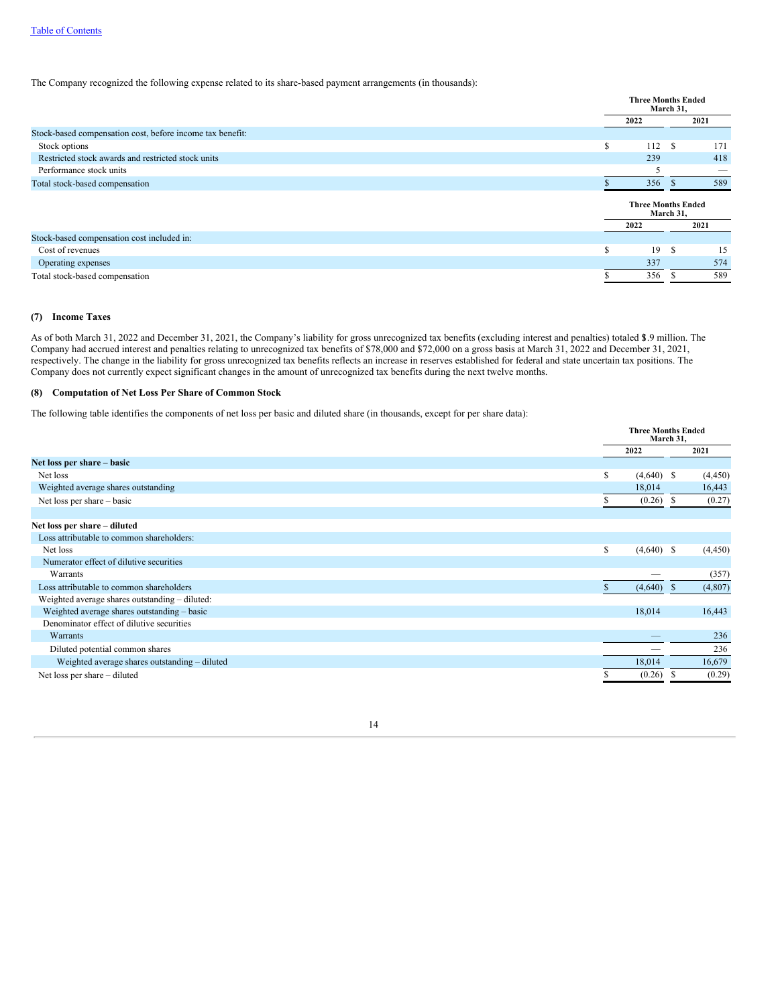The Company recognized the following expense related to its share-based payment arrangements (in thousands):

|                                                           |   | <b>Three Months Ended</b><br>March 31, |               |      |  |
|-----------------------------------------------------------|---|----------------------------------------|---------------|------|--|
|                                                           |   | 2022                                   |               | 2021 |  |
| Stock-based compensation cost, before income tax benefit: |   |                                        |               |      |  |
| Stock options                                             | S | 112                                    | <sup>\$</sup> | 171  |  |
| Restricted stock awards and restricted stock units        |   | 239                                    |               | 418  |  |
| Performance stock units                                   |   | 5                                      |               |      |  |
| Total stock-based compensation                            |   | 356                                    |               | 589  |  |
|                                                           |   | <b>Three Months Ended</b><br>March 31, |               |      |  |
|                                                           |   | 2022                                   |               | 2021 |  |
| Stock-based compensation cost included in:                |   |                                        |               |      |  |
| Cost of revenues                                          | S | 19                                     | <sup>\$</sup> | 15   |  |
| Operating expenses                                        |   | 337                                    |               | 574  |  |
| Total stock-based compensation                            |   | 356                                    |               | 589  |  |

## **(7) Income Taxes**

As of both March 31, 2022 and December 31, 2021, the Company's liability for gross unrecognized tax benefits (excluding interest and penalties) totaled \$1.9 million. The Company had accrued interest and penalties relating to unrecognized tax benefits of \$78,000 and \$72,000 on a gross basis at March 31, 2022 and December 31, 2021, respectively. The change in the liability for gross unrecognized tax benefits reflects an increase in reserves established for federal and state uncertain tax positions. The Company does not currently expect significant changes in the amount of unrecognized tax benefits during the next twelve months.

## **(8) Computation of Net Loss Per Share of Common Stock**

The following table identifies the components of net loss per basic and diluted share (in thousands, except for per share data):

|                                                |                    | <b>Three Months Ended</b><br>March 31, |          |  |
|------------------------------------------------|--------------------|----------------------------------------|----------|--|
|                                                | 2022               | 2021                                   |          |  |
| Net loss per share – basic                     |                    |                                        |          |  |
| Net loss                                       | \$<br>$(4,640)$ \$ |                                        | (4,450)  |  |
| Weighted average shares outstanding            | 18,014             | 16,443                                 |          |  |
| Net loss per share – basic                     | $(0.26)$ \$        |                                        | (0.27)   |  |
|                                                |                    |                                        |          |  |
| Net loss per share - diluted                   |                    |                                        |          |  |
| Loss attributable to common shareholders:      |                    |                                        |          |  |
| Net loss                                       | \$<br>$(4,640)$ \$ |                                        | (4, 450) |  |
| Numerator effect of dilutive securities        |                    |                                        |          |  |
| Warrants                                       |                    |                                        | (357)    |  |
| Loss attributable to common shareholders       | (4,640)            | <b>S</b>                               | (4,807)  |  |
| Weighted average shares outstanding – diluted: |                    |                                        |          |  |
| Weighted average shares outstanding – basic    | 18,014             | 16,443                                 |          |  |
| Denominator effect of dilutive securities      |                    |                                        |          |  |
| Warrants                                       |                    |                                        | 236      |  |
| Diluted potential common shares                |                    |                                        | 236      |  |
| Weighted average shares outstanding – diluted  | 18,014             | 16,679                                 |          |  |
| Net loss per share – diluted                   | (0.26)             | - 8                                    | (0.29)   |  |

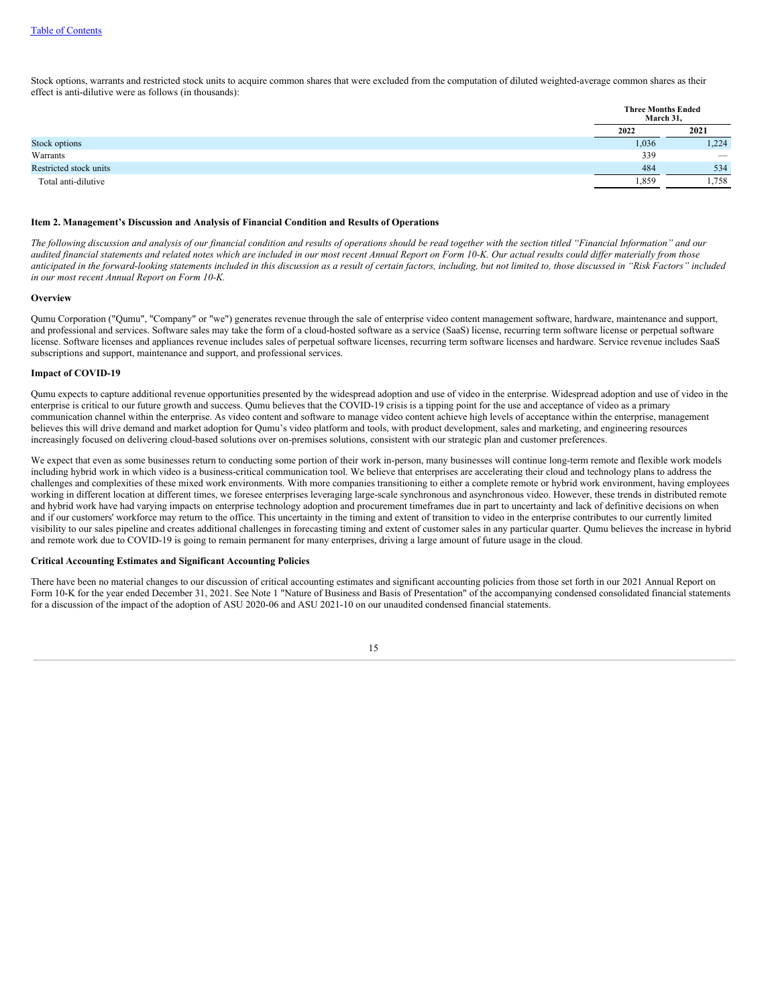Stock options, warrants and restricted stock units to acquire common shares that were excluded from the computation of diluted weighted-average common shares as their effect is anti-dilutive were as follows (in thousands):

|                        |       | <b>Three Months Ended</b><br>March 31, |
|------------------------|-------|----------------------------------------|
|                        | 2022  | 2021                                   |
| Stock options          | 1,036 | 1,224                                  |
| Warrants               | 339   | $\overline{\phantom{m}}$               |
| Restricted stock units | 484   | 534                                    |
| Total anti-dilutive    | .359  | 1,758                                  |

### <span id="page-14-0"></span>**Item 2. Management's Discussion and Analysis of Financial Condition and Results of Operations**

The following discussion and analysis of our financial condition and results of operations should be read together with the section titled "Financial Information" and our audited financial statements and related notes which are included in our most recent Annual Report on Form 10-K. Our actual results could differ materially from those anticipated in the forward-looking statements included in this discussion as a result of certain factors, including, but not limited to, those discussed in "Risk Factors" included *in our most recent Annual Report on Form 10-K.*

### **Overview**

Qumu Corporation ("Qumu", "Company" or "we") generates revenue through the sale of enterprise video content management software, hardware, maintenance and support, and professional and services. Software sales may take the form of a cloud-hosted software as a service (SaaS) license, recurring term software license or perpetual software license. Software licenses and appliances revenue includes sales of perpetual software licenses, recurring term software licenses and hardware. Service revenue includes SaaS subscriptions and support, maintenance and support, and professional services.

#### **Impact of COVID-19**

Qumu expects to capture additional revenue opportunities presented by the widespread adoption and use of video in the enterprise. Widespread adoption and use of video in the enterprise is critical to our future growth and success. Qumu believes that the COVID-19 crisis is a tipping point for the use and acceptance of video as a primary communication channel within the enterprise. As video content and software to manage video content achieve high levels of acceptance within the enterprise, management believes this will drive demand and market adoption for Qumu's video platform and tools, with product development, sales and marketing, and engineering resources increasingly focused on delivering cloud-based solutions over on-premises solutions, consistent with our strategic plan and customer preferences.

We expect that even as some businesses return to conducting some portion of their work in-person, many businesses will continue long-term remote and flexible work models including hybrid work in which video is a business-critical communication tool. We believe that enterprises are accelerating their cloud and technology plans to address the challenges and complexities of these mixed work environments. With more companies transitioning to either a complete remote or hybrid work environment, having employees working in different location at different times, we foresee enterprises leveraging large-scale synchronous and asynchronous video. However, these trends in distributed remote and hybrid work have had varying impacts on enterprise technology adoption and procurement timeframes due in part to uncertainty and lack of definitive decisions on when and if our customers' workforce may return to the office. This uncertainty in the timing and extent of transition to video in the enterprise contributes to our currently limited visibility to our sales pipeline and creates additional challenges in forecasting timing and extent of customer sales in any particular quarter. Qumu believes the increase in hybrid and remote work due to COVID-19 is going to remain permanent for many enterprises, driving a large amount of future usage in the cloud.

## **Critical Accounting Estimates and Significant Accounting Policies**

There have been no material changes to our discussion of critical accounting estimates and significant accounting policies from those set forth in our 2021 Annual Report on Form 10-K for the year ended December 31, 2021. See Note 1 "Nature of Business and Basis of Presentation" of the accompanying condensed consolidated financial statements for a discussion of the impact of the adoption of ASU 2020-06 and ASU 2021-10 on our unaudited condensed financial statements.

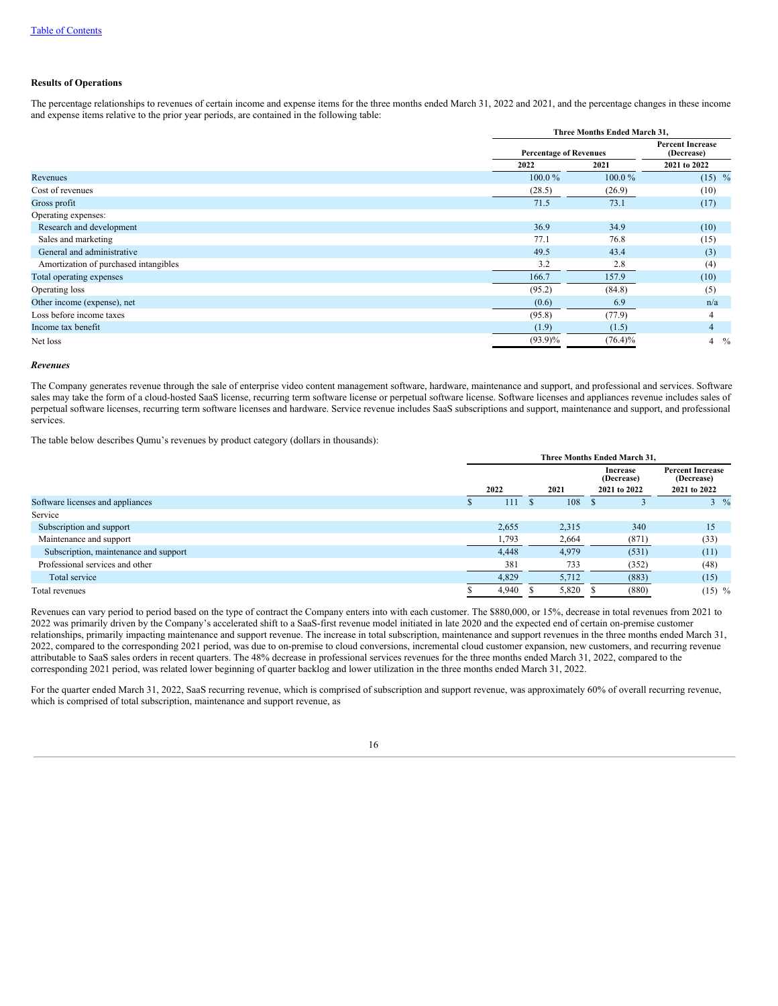## **Results of Operations**

The percentage relationships to revenues of certain income and expense items for the three months ended March 31, 2022 and 2021, and the percentage changes in these income and expense items relative to the prior year periods, are contained in the following table:

|                                       |            | Three Months Ended March 31,  |                |  |  |  |
|---------------------------------------|------------|-------------------------------|----------------|--|--|--|
|                                       |            | <b>Percentage of Revenues</b> |                |  |  |  |
|                                       | 2022       | 2021                          | 2021 to 2022   |  |  |  |
| Revenues                              | $100.0\%$  | $100.0\%$                     | $(15)$ %       |  |  |  |
| Cost of revenues                      | (28.5)     | (26.9)                        | (10)           |  |  |  |
| Gross profit                          | 71.5       | 73.1                          | (17)           |  |  |  |
| Operating expenses:                   |            |                               |                |  |  |  |
| Research and development              | 36.9       | 34.9                          | (10)           |  |  |  |
| Sales and marketing                   | 77.1       | 76.8                          | (15)           |  |  |  |
| General and administrative            | 49.5       | 43.4                          | (3)            |  |  |  |
| Amortization of purchased intangibles | 3.2        | 2.8                           | (4)            |  |  |  |
| Total operating expenses              | 166.7      | 157.9                         | (10)           |  |  |  |
| Operating loss                        | (95.2)     | (84.8)                        | (5)            |  |  |  |
| Other income (expense), net           | (0.6)      | 6.9                           | n/a            |  |  |  |
| Loss before income taxes              | (95.8)     | (77.9)                        | 4              |  |  |  |
| Income tax benefit                    | (1.9)      | (1.5)                         | $\overline{4}$ |  |  |  |
| Net loss                              | $(93.9)\%$ | $(76.4)\%$                    | $4\frac{6}{6}$ |  |  |  |

#### *Revenues*

The Company generates revenue through the sale of enterprise video content management software, hardware, maintenance and support, and professional and services. Software sales may take the form of a cloud-hosted SaaS license, recurring term software license or perpetual software license. Software licenses and appliances revenue includes sales of perpetual software licenses, recurring term software licenses and hardware. Service revenue includes SaaS subscriptions and support, maintenance and support, and professional services.

The table below describes Qumu's revenues by product category (dollars in thousands):

|                                       |  | Three Months Ended March 31. |  |              |    |       |                 |                                        |                                                       |
|---------------------------------------|--|------------------------------|--|--------------|----|-------|-----------------|----------------------------------------|-------------------------------------------------------|
|                                       |  |                              |  | 2022<br>2021 |    |       |                 | Increase<br>(Decrease)<br>2021 to 2022 | <b>Percent Increase</b><br>(Decrease)<br>2021 to 2022 |
|                                       |  |                              |  |              |    |       |                 |                                        |                                                       |
| Software licenses and appliances      |  | 111                          |  | 108          | -S |       | $3 \frac{9}{6}$ |                                        |                                                       |
| Service                               |  |                              |  |              |    |       |                 |                                        |                                                       |
| Subscription and support              |  | 2,655                        |  | 2,315        |    | 340   | 15              |                                        |                                                       |
| Maintenance and support               |  | 1,793                        |  | 2,664        |    | (871) | (33)            |                                        |                                                       |
| Subscription, maintenance and support |  | 4,448                        |  | 4,979        |    | (531) | (11)            |                                        |                                                       |
| Professional services and other       |  | 381                          |  | 733          |    | (352) | (48)            |                                        |                                                       |
| Total service                         |  | 4.829                        |  | 5,712        |    | (883) | (15)            |                                        |                                                       |
| Total revenues                        |  | 4.940                        |  | 5,820        |    | (880) | $(15)$ %        |                                        |                                                       |

Revenues can vary period to period based on the type of contract the Company enters into with each customer. The \$880,000, or 15%, decrease in total revenues from 2021 to 2022 was primarily driven by the Company's accelerated shift to a SaaS-first revenue model initiated in late 2020 and the expected end of certain on-premise customer relationships, primarily impacting maintenance and support revenue. The increase in total subscription, maintenance and support revenues in the three months ended March 31, 2022, compared to the corresponding 2021 period, was due to on-premise to cloud conversions, incremental cloud customer expansion, new customers, and recurring revenue attributable to SaaS sales orders in recent quarters. The 48% decrease in professional services revenues for the three months ended March 31, 2022, compared to the corresponding 2021 period, was related lower beginning of quarter backlog and lower utilization in the three months ended March 31, 2022.

For the quarter ended March 31, 2022, SaaS recurring revenue, which is comprised of subscription and support revenue, was approximately 60% of overall recurring revenue, which is comprised of total subscription, maintenance and support revenue, as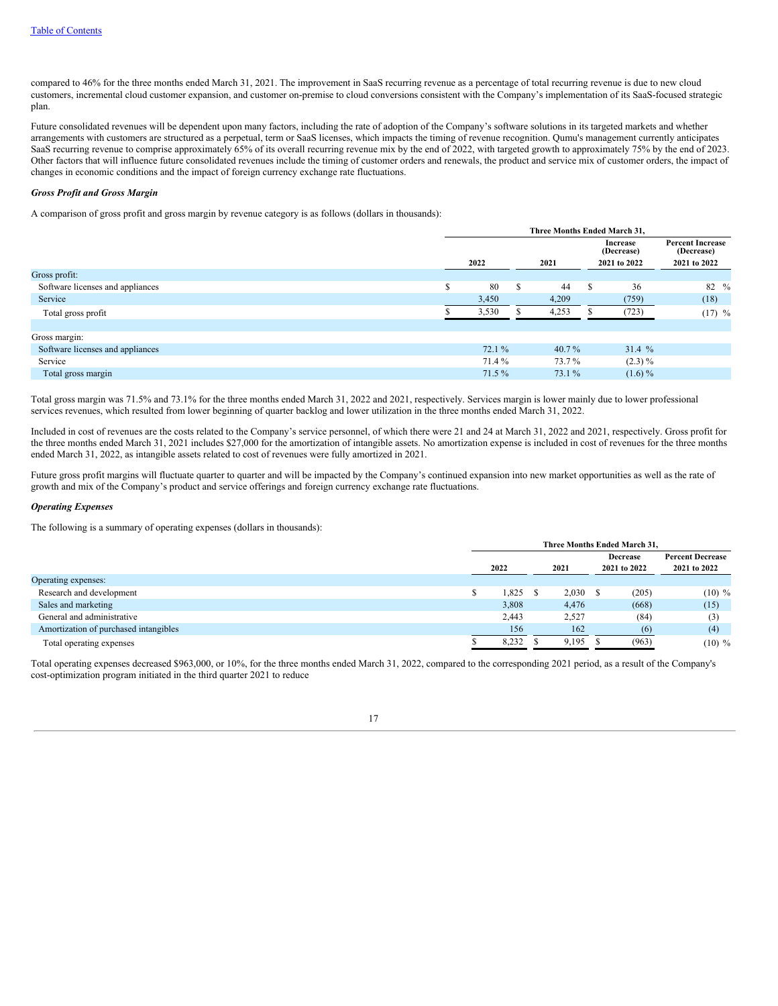compared to 46% for the three months ended March 31, 2021. The improvement in SaaS recurring revenue as a percentage of total recurring revenue is due to new cloud customers, incremental cloud customer expansion, and customer on-premise to cloud conversions consistent with the Company's implementation of its SaaS-focused strategic plan.

Future consolidated revenues will be dependent upon many factors, including the rate of adoption of the Company's software solutions in its targeted markets and whether arrangements with customers are structured as a perpetual, term or SaaS licenses, which impacts the timing of revenue recognition. Qumu's management currently anticipates SaaS recurring revenue to comprise approximately 65% of its overall recurring revenue mix by the end of 2022, with targeted growth to approximately 75% by the end of 2023. Other factors that will influence future consolidated revenues include the timing of customer orders and renewals, the product and service mix of customer orders, the impact of changes in economic conditions and the impact of foreign currency exchange rate fluctuations.

### *Gross Profit and Gross Margin*

A comparison of gross profit and gross margin by revenue category is as follows (dollars in thousands):

|                                  | Three Months Ended March 31, |        |               |          |   |                               |                                       |
|----------------------------------|------------------------------|--------|---------------|----------|---|-------------------------------|---------------------------------------|
|                                  |                              |        |               |          |   | <b>Increase</b><br>(Decrease) | <b>Percent Increase</b><br>(Decrease) |
|                                  |                              | 2022   |               | 2021     |   | 2021 to 2022                  | 2021 to 2022                          |
| Gross profit:                    |                              |        |               |          |   |                               |                                       |
| Software licenses and appliances | \$                           | 80     | <sup>\$</sup> | 44       | S | 36                            | 82 %                                  |
| Service                          |                              | 3,450  |               | 4,209    |   | (759)                         | (18)                                  |
| Total gross profit               |                              | 3,530  |               | 4,253    |   | (723)                         | $(17)$ %                              |
|                                  |                              |        |               |          |   |                               |                                       |
| Gross margin:                    |                              |        |               |          |   |                               |                                       |
| Software licenses and appliances |                              | 72.1%  |               | $40.7\%$ |   | 31.4%                         |                                       |
| Service                          |                              | 71.4 % |               | 73.7%    |   | $(2.3)\%$                     |                                       |
| Total gross margin               |                              | 71.5%  |               | 73.1%    |   | $(1.6) \%$                    |                                       |

Total gross margin was 71.5% and 73.1% for the three months ended March 31, 2022 and 2021, respectively. Services margin is lower mainly due to lower professional services revenues, which resulted from lower beginning of quarter backlog and lower utilization in the three months ended March 31, 2022.

Included in cost of revenues are the costs related to the Company's service personnel, of which there were 21 and 24 at March 31, 2022 and 2021, respectively. Gross profit for the three months ended March 31, 2021 includes \$27,000 for the amortization of intangible assets. No amortization expense is included in cost of revenues for the three months ended March 31, 2022, as intangible assets related to cost of revenues were fully amortized in 2021.

Future gross profit margins will fluctuate quarter to quarter and will be impacted by the Company's continued expansion into new market opportunities as well as the rate of growth and mix of the Company's product and service offerings and foreign currency exchange rate fluctuations.

#### *Operating Expenses*

The following is a summary of operating expenses (dollars in thousands):

|                                       | Three Months Ended March 31. |  |       |              |                         |  |
|---------------------------------------|------------------------------|--|-------|--------------|-------------------------|--|
|                                       |                              |  |       | Decrease     | <b>Percent Decrease</b> |  |
|                                       | 2022                         |  | 2021  | 2021 to 2022 | 2021 to 2022            |  |
| Operating expenses:                   |                              |  |       |              |                         |  |
| Research and development              | 1.825                        |  | 2,030 | (205)<br>S   | $(10) \%$               |  |
| Sales and marketing                   | 3,808                        |  | 4,476 | (668)        | (15)                    |  |
| General and administrative            | 2.443                        |  | 2,527 | (84)         | (3)                     |  |
| Amortization of purchased intangibles | 156                          |  | 162   | (6)          | (4)                     |  |
| Total operating expenses              | 8,232                        |  | 9,195 | (963)        | $(10) \%$               |  |

Total operating expenses decreased \$963,000, or 10%, for the three months ended March 31, 2022, compared to the corresponding 2021 period, as a result of the Company's cost-optimization program initiated in the third quarter 2021 to reduce

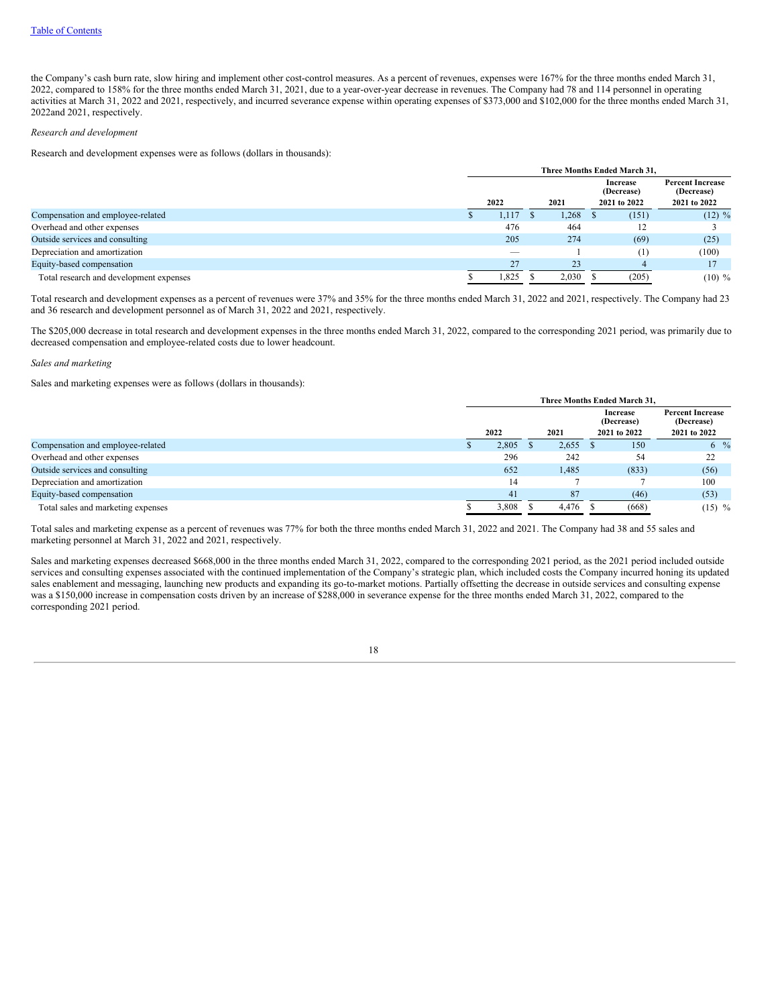the Company's cash burn rate, slow hiring and implement other cost-control measures. As a percent of revenues, expenses were 167% for the three months ended March 31, 2022, compared to 158% for the three months ended March 31, 2021, due to a year-over-year decrease in revenues. The Company had 78 and 114 personnel in operating activities at March 31, 2022 and 2021, respectively, and incurred severance expense within operating expenses of \$373,000 and \$102,000 for the three months ended March 31, 2022and 2021, respectively.

#### *Research and development*

Research and development expenses were as follows (dollars in thousands):

|                                         | Three Months Ended March 31. |    |           |                        |                                       |              |
|-----------------------------------------|------------------------------|----|-----------|------------------------|---------------------------------------|--------------|
|                                         |                              |    |           | Increase<br>(Decrease) | <b>Percent Increase</b><br>(Decrease) |              |
|                                         | 2022                         |    | 2021      |                        | 2021 to 2022                          | 2021 to 2022 |
| Compensation and employee-related       | 1,117                        | J. | 1,268     |                        | (151)                                 | $(12) \%$    |
| Overhead and other expenses             | 476                          |    | 464       |                        | 12                                    |              |
| Outside services and consulting         | 205                          |    | 274       |                        | (69)                                  | (25)         |
| Depreciation and amortization           |                              |    |           |                        | $^{(1)}$                              | (100)        |
| Equity-based compensation               | 27                           |    | 23        |                        |                                       | 17           |
| Total research and development expenses | 1,825                        |    | $2,030$ : |                        | (205)                                 | $(10) \%$    |

Total research and development expenses as a percent of revenues were 37% and 35% for the three months ended March 31, 2022 and 2021, respectively. The Company had 23 and 36 research and development personnel as of March 31, 2022 and 2021, respectively.

The \$205,000 decrease in total research and development expenses in the three months ended March 31, 2022, compared to the corresponding 2021 period, was primarily due to decreased compensation and employee-related costs due to lower headcount.

## *Sales and marketing*

Sales and marketing expenses were as follows (dollars in thousands):

|                                    | Three Months Ended March 31. |  |            |                        |       |                                       |  |
|------------------------------------|------------------------------|--|------------|------------------------|-------|---------------------------------------|--|
|                                    |                              |  |            | Increase<br>(Decrease) |       | <b>Percent Increase</b><br>(Decrease) |  |
|                                    | 2022                         |  | 2021       | 2021 to 2022           |       | 2021 to 2022                          |  |
| Compensation and employee-related  | 2,805                        |  | $2,655$ \$ |                        | 150   | $6\frac{9}{6}$                        |  |
| Overhead and other expenses        | 296                          |  | 242        |                        | 54    | 22                                    |  |
| Outside services and consulting    | 652                          |  | 1,485      |                        | (833) | (56)                                  |  |
| Depreciation and amortization      | 14                           |  |            |                        |       | 100                                   |  |
| Equity-based compensation          | 41                           |  | 87         |                        | (46)  | (53)                                  |  |
| Total sales and marketing expenses | 3,808                        |  | 4.476      |                        | (668) | $(15)$ %                              |  |

Total sales and marketing expense as a percent of revenues was 77% for both the three months ended March 31, 2022 and 2021. The Company had 38 and 55 sales and marketing personnel at March 31, 2022 and 2021, respectively.

Sales and marketing expenses decreased \$668,000 in the three months ended March 31, 2022, compared to the corresponding 2021 period, as the 2021 period included outside services and consulting expenses associated with the continued implementation of the Company's strategic plan, which included costs the Company incurred honing its updated sales enablement and messaging, launching new products and expanding its go-to-market motions. Partially offsetting the decrease in outside services and consulting expense was a \$150,000 increase in compensation costs driven by an increase of \$288,000 in severance expense for the three months ended March 31, 2022, compared to the corresponding 2021 period.

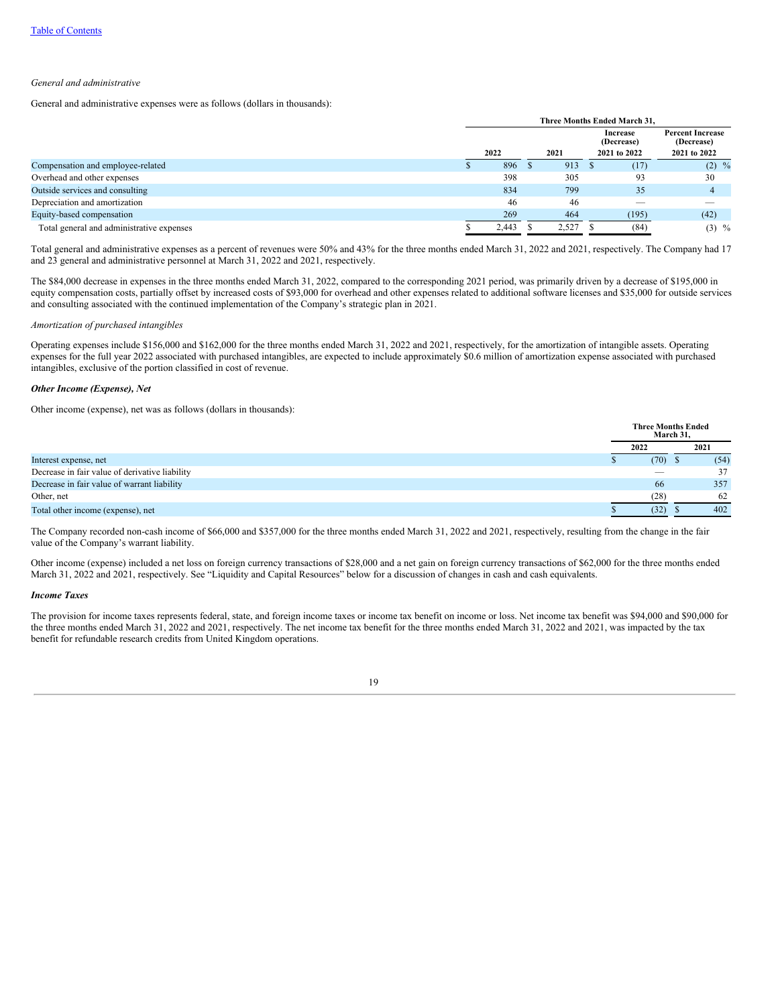#### *General and administrative*

General and administrative expenses were as follows (dollars in thousands):

|                                           | Three Months Ended March 31. |  |       |  |                        |                                       |  |
|-------------------------------------------|------------------------------|--|-------|--|------------------------|---------------------------------------|--|
|                                           |                              |  |       |  | Increase<br>(Decrease) | <b>Percent Increase</b><br>(Decrease) |  |
|                                           | 2022                         |  | 2021  |  | 2021 to 2022           | 2021 to 2022                          |  |
| Compensation and employee-related         | 896                          |  | 913   |  | (17)                   | $(2)$ %                               |  |
| Overhead and other expenses               | 398                          |  | 305   |  | 93                     | 30                                    |  |
| Outside services and consulting           | 834                          |  | 799   |  | 35                     | 4                                     |  |
| Depreciation and amortization             | 46                           |  | 46    |  | __                     |                                       |  |
| Equity-based compensation                 | 269                          |  | 464   |  | (195)                  | (42)                                  |  |
| Total general and administrative expenses | 2,443                        |  | 2,527 |  | (84)                   | $(3)$ %                               |  |

Total general and administrative expenses as a percent of revenues were 50% and 43% for the three months ended March 31, 2022 and 2021, respectively. The Company had 17 and 23 general and administrative personnel at March 31, 2022 and 2021, respectively.

The \$84,000 decrease in expenses in the three months ended March 31, 2022, compared to the corresponding 2021 period, was primarily driven by a decrease of \$195,000 in equity compensation costs, partially offset by increased costs of \$93,000 for overhead and other expenses related to additional software licenses and \$35,000 for outside services and consulting associated with the continued implementation of the Company's strategic plan in 2021.

#### *Amortization of purchased intangibles*

Operating expenses include \$156,000 and \$162,000 for the three months ended March 31, 2022 and 2021, respectively, for the amortization of intangible assets. Operating expenses for the full year 2022 associated with purchased intangibles, are expected to include approximately \$0.6 million of amortization expense associated with purchased intangibles, exclusive of the portion classified in cost of revenue.

## *Other Income (Expense), Net*

Other income (expense), net was as follows (dollars in thousands):

|                                                |           | <b>Three Months Ended</b><br>March 31, |  |
|------------------------------------------------|-----------|----------------------------------------|--|
|                                                | 2022      | 2021                                   |  |
| Interest expense, net                          | $(70)$ \$ | (54)                                   |  |
| Decrease in fair value of derivative liability |           | 37                                     |  |
| Decrease in fair value of warrant liability    | -66       | 357                                    |  |
| Other, net                                     | (28)      | 62                                     |  |
| Total other income (expense), net              | (32)      | 402                                    |  |

The Company recorded non-cash income of \$66,000 and \$357,000 for the three months ended March 31, 2022 and 2021, respectively, resulting from the change in the fair value of the Company's warrant liability.

Other income (expense) included a net loss on foreign currency transactions of \$28,000 and a net gain on foreign currency transactions of \$62,000 for the three months ended March 31, 2022 and 2021, respectively. See "Liquidity and Capital Resources" below for a discussion of changes in cash and cash equivalents.

#### *Income Taxes*

The provision for income taxes represents federal, state, and foreign income taxes or income tax benefit on income or loss. Net income tax benefit was \$94,000 and \$90,000 for the three months ended March 31, 2022 and 2021, respectively. The net income tax benefit for the three months ended March 31, 2022 and 2021, was impacted by the tax benefit for refundable research credits from United Kingdom operations.

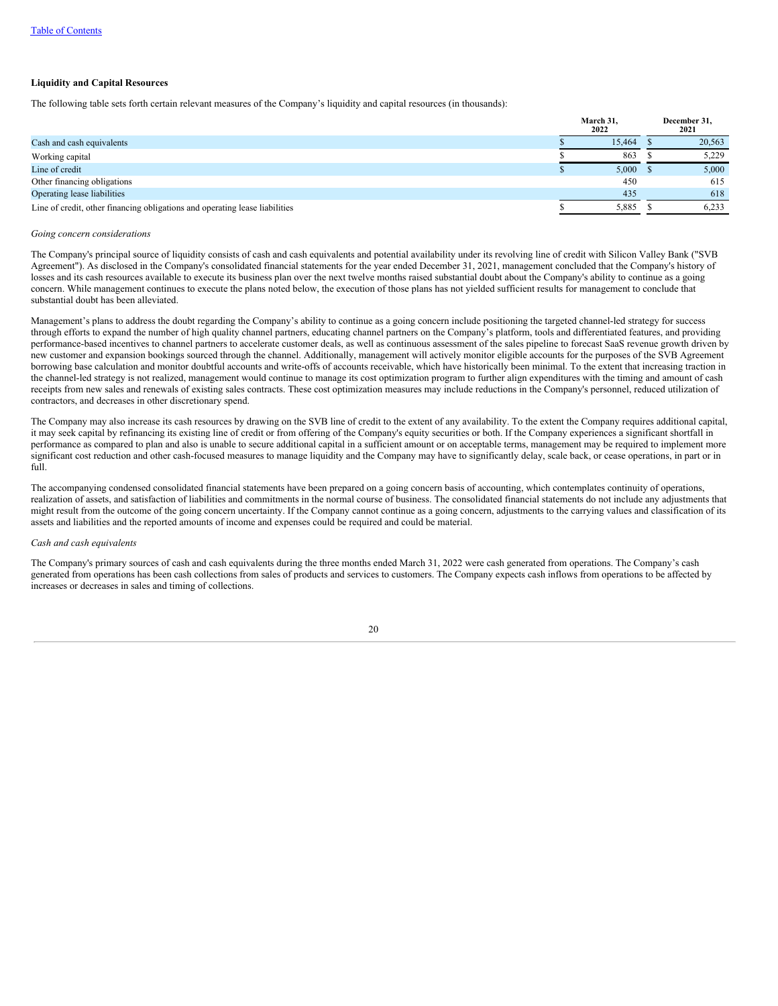## **Liquidity and Capital Resources**

The following table sets forth certain relevant measures of the Company's liquidity and capital resources (in thousands):

|                                                                             | March 31,<br>2022 |        | December 31,<br>2021 |
|-----------------------------------------------------------------------------|-------------------|--------|----------------------|
| Cash and cash equivalents                                                   |                   | 15,464 | 20,563               |
| Working capital                                                             |                   | 863    | 5,229                |
| Line of credit                                                              |                   | 5,000  | 5,000                |
| Other financing obligations                                                 |                   | 450    | 615                  |
| Operating lease liabilities                                                 |                   | 435    | 618                  |
| Line of credit, other financing obligations and operating lease liabilities |                   | 5,885  | 6,233                |

#### *Going concern considerations*

The Company's principal source of liquidity consists of cash and cash equivalents and potential availability under its revolving line of credit with Silicon Valley Bank ("SVB Agreement"). As disclosed in the Company's consolidated financial statements for the year ended December 31, 2021, management concluded that the Company's history of losses and its cash resources available to execute its business plan over the next twelve months raised substantial doubt about the Company's ability to continue as a going concern. While management continues to execute the plans noted below, the execution of those plans has not yielded sufficient results for management to conclude that substantial doubt has been alleviated.

Management's plans to address the doubt regarding the Company's ability to continue as a going concern include positioning the targeted channel-led strategy for success through efforts to expand the number of high quality channel partners, educating channel partners on the Company's platform, tools and differentiated features, and providing performance-based incentives to channel partners to accelerate customer deals, as well as continuous assessment of the sales pipeline to forecast SaaS revenue growth driven by new customer and expansion bookings sourced through the channel. Additionally, management will actively monitor eligible accounts for the purposes of the SVB Agreement borrowing base calculation and monitor doubtful accounts and write-offs of accounts receivable, which have historically been minimal. To the extent that increasing traction in the channel-led strategy is not realized, management would continue to manage its cost optimization program to further align expenditures with the timing and amount of cash receipts from new sales and renewals of existing sales contracts. These cost optimization measures may include reductions in the Company's personnel, reduced utilization of contractors, and decreases in other discretionary spend.

The Company may also increase its cash resources by drawing on the SVB line of credit to the extent of any availability. To the extent the Company requires additional capital, it may seek capital by refinancing its existing line of credit or from offering of the Company's equity securities or both. If the Company experiences a significant shortfall in performance as compared to plan and also is unable to secure additional capital in a sufficient amount or on acceptable terms, management may be required to implement more significant cost reduction and other cash-focused measures to manage liquidity and the Company may have to significantly delay, scale back, or cease operations, in part or in full.

The accompanying condensed consolidated financial statements have been prepared on a going concern basis of accounting, which contemplates continuity of operations, realization of assets, and satisfaction of liabilities and commitments in the normal course of business. The consolidated financial statements do not include any adjustments that might result from the outcome of the going concern uncertainty. If the Company cannot continue as a going concern, adjustments to the carrying values and classification of its assets and liabilities and the reported amounts of income and expenses could be required and could be material.

## *Cash and cash equivalents*

The Company's primary sources of cash and cash equivalents during the three months ended March 31, 2022 were cash generated from operations. The Company's cash generated from operations has been cash collections from sales of products and services to customers. The Company expects cash inflows from operations to be affected by increases or decreases in sales and timing of collections.

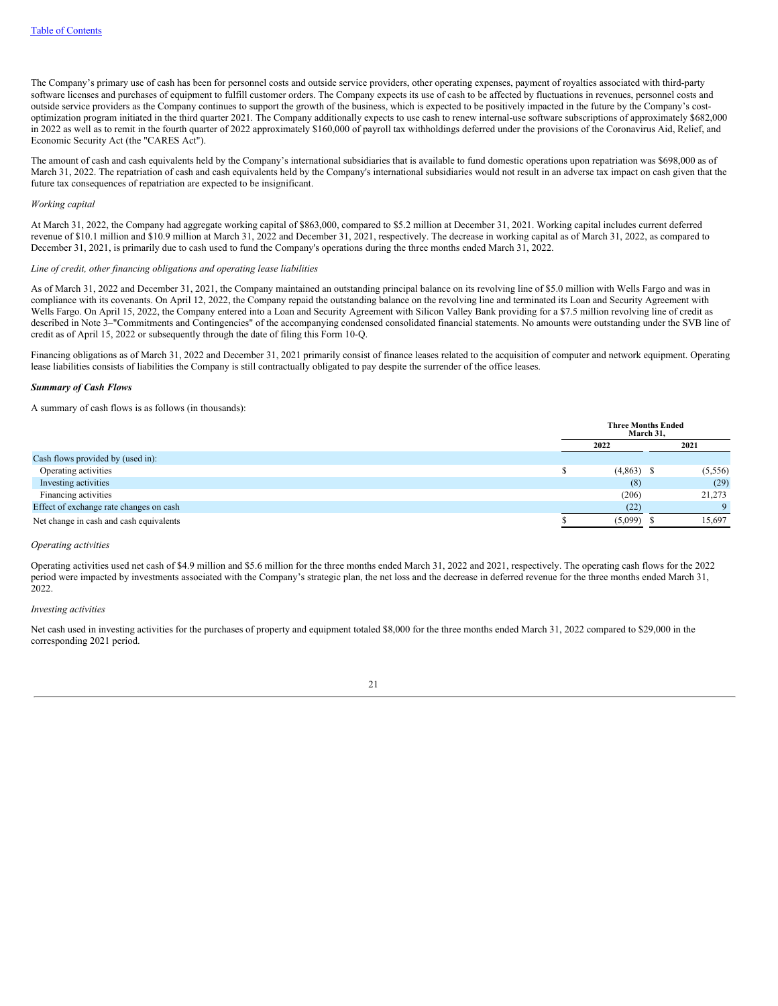The Company's primary use of cash has been for personnel costs and outside service providers, other operating expenses, payment of royalties associated with third-party software licenses and purchases of equipment to fulfill customer orders. The Company expects its use of cash to be affected by fluctuations in revenues, personnel costs and outside service providers as the Company continues to support the growth of the business, which is expected to be positively impacted in the future by the Company's costoptimization program initiated in the third quarter 2021. The Company additionally expects to use cash to renew internal-use software subscriptions of approximately \$682,000 in 2022 as well as to remit in the fourth quarter of 2022 approximately \$160,000 of payroll tax withholdings deferred under the provisions of the Coronavirus Aid, Relief, and Economic Security Act (the "CARES Act").

The amount of cash and cash equivalents held by the Company's international subsidiaries that is available to fund domestic operations upon repatriation was \$698,000 as of March 31, 2022. The repatriation of cash and cash equivalents held by the Company's international subsidiaries would not result in an adverse tax impact on cash given that the future tax consequences of repatriation are expected to be insignificant.

#### *Working capital*

At March 31, 2022, the Company had aggregate working capital of \$863,000, compared to \$5.2 million at December 31, 2021. Working capital includes current deferred revenue of \$10.1 million and \$10.9 million at March 31, 2022 and December 31, 2021, respectively. The decrease in working capital as of March 31, 2022, as compared to December 31, 2021, is primarily due to cash used to fund the Company's operations during the three months ended March 31, 2022.

#### *Line of credit, other financing obligations and operating lease liabilities*

As of March 31, 2022 and December 31, 2021, the Company maintained an outstanding principal balance on its revolving line of \$5.0 million with Wells Fargo and was in compliance with its covenants. On April 12, 2022, the Company repaid the outstanding balance on the revolving line and terminated its Loan and Security Agreement with Wells Fargo. On April 15, 2022, the Company entered into a Loan and Security Agreement with Silicon Valley Bank providing for a \$7.5 million revolving line of credit as described in Note 3–"Commitments and Contingencies" of the accompanying condensed consolidated financial statements. No amounts were outstanding under the SVB line of credit as of April 15, 2022 or subsequently through the date of filing this Form 10-Q.

Financing obligations as of March 31, 2022 and December 31, 2021 primarily consist of finance leases related to the acquisition of computer and network equipment. Operating lease liabilities consists of liabilities the Company is still contractually obligated to pay despite the surrender of the office leases.

#### *Summary of Cash Flows*

A summary of cash flows is as follows (in thousands):

|                                         | <b>Three Months Ended</b><br>March 31, |  |             |
|-----------------------------------------|----------------------------------------|--|-------------|
|                                         | 2022                                   |  | 2021        |
| Cash flows provided by (used in):       |                                        |  |             |
| Operating activities                    | $(4,863)$ \$                           |  | (5,556)     |
| Investing activities                    | (8)                                    |  | (29)        |
| Financing activities                    | (206)                                  |  | 21,273      |
| Effect of exchange rate changes on cash | (22)                                   |  | $\mathbf Q$ |
| Net change in cash and cash equivalents | (5,099)                                |  | 15.697      |

#### *Operating activities*

Operating activities used net cash of \$4.9 million and \$5.6 million for the three months ended March 31, 2022 and 2021, respectively. The operating cash flows for the 2022 period were impacted by investments associated with the Company's strategic plan, the net loss and the decrease in deferred revenue for the three months ended March 31, 2022.

#### *Investing activities*

Net cash used in investing activities for the purchases of property and equipment totaled \$8,000 for the three months ended March 31, 2022 compared to \$29,000 in the corresponding 2021 period.

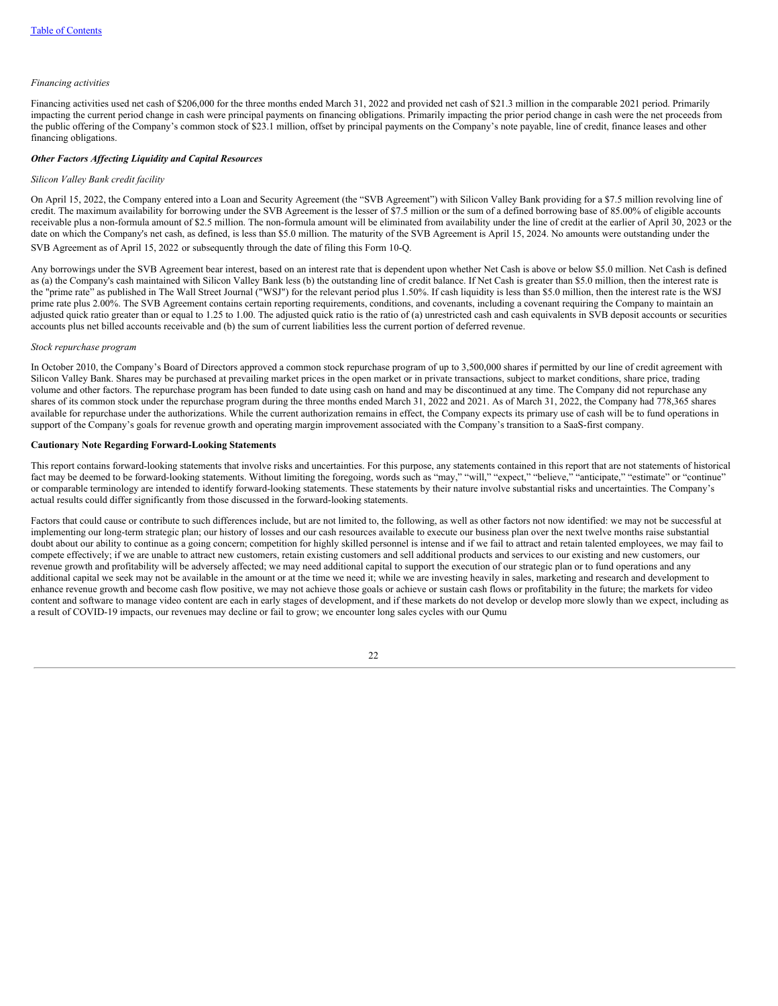#### *Financing activities*

Financing activities used net cash of \$206,000 for the three months ended March 31, 2022 and provided net cash of \$21.3 million in the comparable 2021 period. Primarily impacting the current period change in cash were principal payments on financing obligations. Primarily impacting the prior period change in cash were the net proceeds from the public offering of the Company's common stock of \$23.1 million, offset by principal payments on the Company's note payable, line of credit, finance leases and other financing obligations.

## *Other Factors Af ecting Liquidity and Capital Resources*

#### *Silicon Valley Bank credit facility*

On April 15, 2022, the Company entered into a Loan and Security Agreement (the "SVB Agreement") with Silicon Valley Bank providing for a \$7.5 million revolving line of credit. The maximum availability for borrowing under the SVB Agreement is the lesser of \$7.5 million or the sum of a defined borrowing base of 85.00% of eligible accounts receivable plus a non-formula amount of \$2.5 million. The non-formula amount will be eliminated from availability under the line of credit at the earlier of April 30, 2023 or the date on which the Company's net cash, as defined, is less than \$5.0 million. The maturity of the SVB Agreement is April 15, 2024. No amounts were outstanding under the SVB Agreement as of April 15, 2022 or subsequently through the date of filing this Form 10-Q.

Any borrowings under the SVB Agreement bear interest, based on an interest rate that is dependent upon whether Net Cash is above or below \$5.0 million. Net Cash is defined as (a) the Company's cash maintained with Silicon Valley Bank less (b) the outstanding line of credit balance. If Net Cash is greater than \$5.0 million, then the interest rate is the "prime rate" as published in The Wall Street Journal ("WSJ") for the relevant period plus 1.50%. If cash liquidity is less than \$5.0 million, then the interest rate is the WSJ prime rate plus 2.00%. The SVB Agreement contains certain reporting requirements, conditions, and covenants, including a covenant requiring the Company to maintain an adjusted quick ratio greater than or equal to 1.25 to 1.00. The adjusted quick ratio is the ratio of (a) unrestricted cash and cash equivalents in SVB deposit accounts or securities accounts plus net billed accounts receivable and (b) the sum of current liabilities less the current portion of deferred revenue.

#### *Stock repurchase program*

In October 2010, the Company's Board of Directors approved a common stock repurchase program of up to 3,500,000 shares if permitted by our line of credit agreement with Silicon Valley Bank. Shares may be purchased at prevailing market prices in the open market or in private transactions, subject to market conditions, share price, trading volume and other factors. The repurchase program has been funded to date using cash on hand and may be discontinued at any time. The Company did not repurchase any shares of its common stock under the repurchase program during the three months ended March 31, 2022 and 2021. As of March 31, 2022, the Company had 778,365 shares available for repurchase under the authorizations. While the current authorization remains in effect, the Company expects its primary use of cash will be to fund operations in support of the Company's goals for revenue growth and operating margin improvement associated with the Company's transition to a SaaS-first company.

## <span id="page-21-0"></span>**Cautionary Note Regarding Forward-Looking Statements**

This report contains forward-looking statements that involve risks and uncertainties. For this purpose, any statements contained in this report that are not statements of historical fact may be deemed to be forward-looking statements. Without limiting the foregoing, words such as "may," "will," "expect," "believe," "anticipate," "estimate" or "continue" or comparable terminology are intended to identify forward-looking statements. These statements by their nature involve substantial risks and uncertainties. The Company's actual results could differ significantly from those discussed in the forward-looking statements.

Factors that could cause or contribute to such differences include, but are not limited to, the following, as well as other factors not now identified: we may not be successful at implementing our long-term strategic plan; our history of losses and our cash resources available to execute our business plan over the next twelve months raise substantial doubt about our ability to continue as a going concern; competition for highly skilled personnel is intense and if we fail to attract and retain talented employees, we may fail to compete effectively; if we are unable to attract new customers, retain existing customers and sell additional products and services to our existing and new customers, our revenue growth and profitability will be adversely affected; we may need additional capital to support the execution of our strategic plan or to fund operations and any additional capital we seek may not be available in the amount or at the time we need it; while we are investing heavily in sales, marketing and research and development to enhance revenue growth and become cash flow positive, we may not achieve those goals or achieve or sustain cash flows or profitability in the future; the markets for video content and software to manage video content are each in early stages of development, and if these markets do not develop or develop more slowly than we expect, including as a result of COVID-19 impacts, our revenues may decline or fail to grow; we encounter long sales cycles with our Qumu

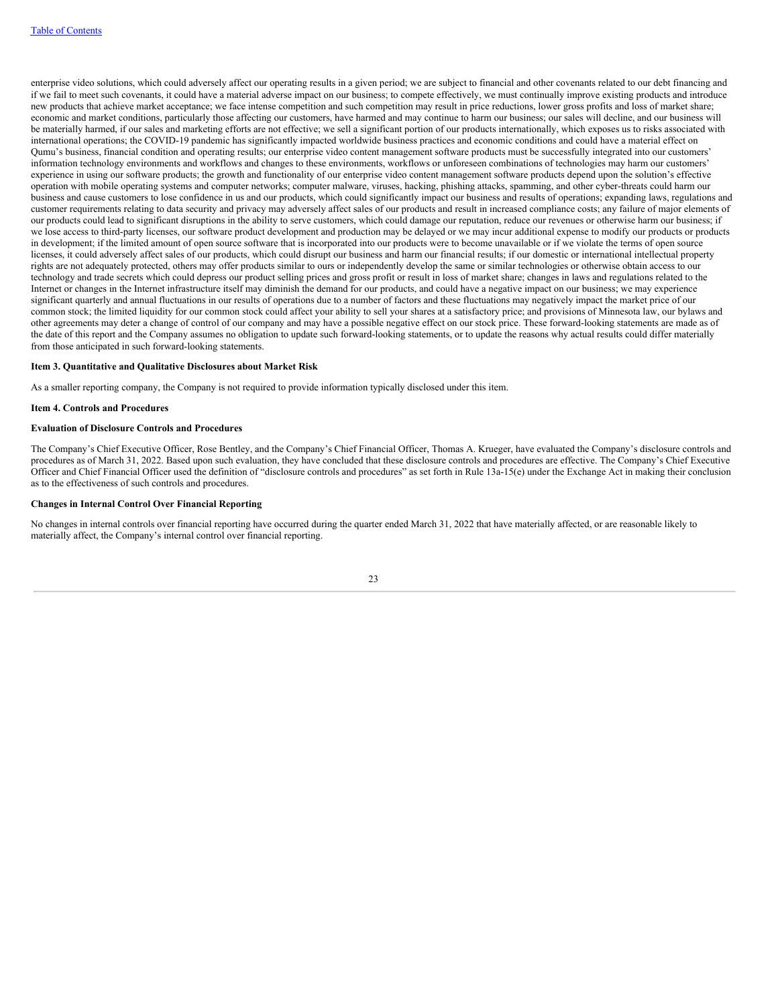enterprise video solutions, which could adversely affect our operating results in a given period; we are subject to financial and other covenants related to our debt financing and if we fail to meet such covenants, it could have a material adverse impact on our business; to compete effectively, we must continually improve existing products and introduce new products that achieve market acceptance; we face intense competition and such competition may result in price reductions, lower gross profits and loss of market share; economic and market conditions, particularly those affecting our customers, have harmed and may continue to harm our business; our sales will decline, and our business will be materially harmed, if our sales and marketing efforts are not effective; we sell a significant portion of our products internationally, which exposes us to risks associated with international operations; the COVID-19 pandemic has significantly impacted worldwide business practices and economic conditions and could have a material effect on Qumu's business, financial condition and operating results; our enterprise video content management software products must be successfully integrated into our customers' information technology environments and workflows and changes to these environments, workflows or unforeseen combinations of technologies may harm our customers' experience in using our software products; the growth and functionality of our enterprise video content management software products depend upon the solution's effective operation with mobile operating systems and computer networks; computer malware, viruses, hacking, phishing attacks, spamming, and other cyber-threats could harm our business and cause customers to lose confidence in us and our products, which could significantly impact our business and results of operations; expanding laws, regulations and customer requirements relating to data security and privacy may adversely affect sales of our products and result in increased compliance costs; any failure of major elements of our products could lead to significant disruptions in the ability to serve customers, which could damage our reputation, reduce our revenues or otherwise harm our business; if we lose access to third-party licenses, our software product development and production may be delayed or we may incur additional expense to modify our products or products in development; if the limited amount of open source software that is incorporated into our products were to become unavailable or if we violate the terms of open source licenses, it could adversely affect sales of our products, which could disrupt our business and harm our financial results; if our domestic or international intellectual property rights are not adequately protected, others may offer products similar to ours or independently develop the same or similar technologies or otherwise obtain access to our technology and trade secrets which could depress our product selling prices and gross profit or result in loss of market share; changes in laws and regulations related to the Internet or changes in the Internet infrastructure itself may diminish the demand for our products, and could have a negative impact on our business; we may experience significant quarterly and annual fluctuations in our results of operations due to a number of factors and these fluctuations may negatively impact the market price of our common stock; the limited liquidity for our common stock could affect your ability to sell your shares at a satisfactory price; and provisions of Minnesota law, our bylaws and other agreements may deter a change of control of our company and may have a possible negative effect on our stock price. These forward-looking statements are made as of the date of this report and the Company assumes no obligation to update such forward-looking statements, or to update the reasons why actual results could differ materially from those anticipated in such forward-looking statements.

#### <span id="page-22-0"></span>**Item 3. Quantitative and Qualitative Disclosures about Market Risk**

<span id="page-22-1"></span>As a smaller reporting company, the Company is not required to provide information typically disclosed under this item.

#### **Item 4. Controls and Procedures**

#### **Evaluation of Disclosure Controls and Procedures**

The Company's Chief Executive Officer, Rose Bentley, and the Company's Chief Financial Officer, Thomas A. Krueger, have evaluated the Company's disclosure controls and procedures as of March 31, 2022. Based upon such evaluation, they have concluded that these disclosure controls and procedures are effective. The Company's Chief Executive Officer and Chief Financial Officer used the definition of "disclosure controls and procedures" as set forth in Rule 13a-15(e) under the Exchange Act in making their conclusion as to the effectiveness of such controls and procedures.

## **Changes in Internal Control Over Financial Reporting**

<span id="page-22-2"></span>No changes in internal controls over financial reporting have occurred during the quarter ended March 31, 2022 that have materially affected, or are reasonable likely to materially affect, the Company's internal control over financial reporting.

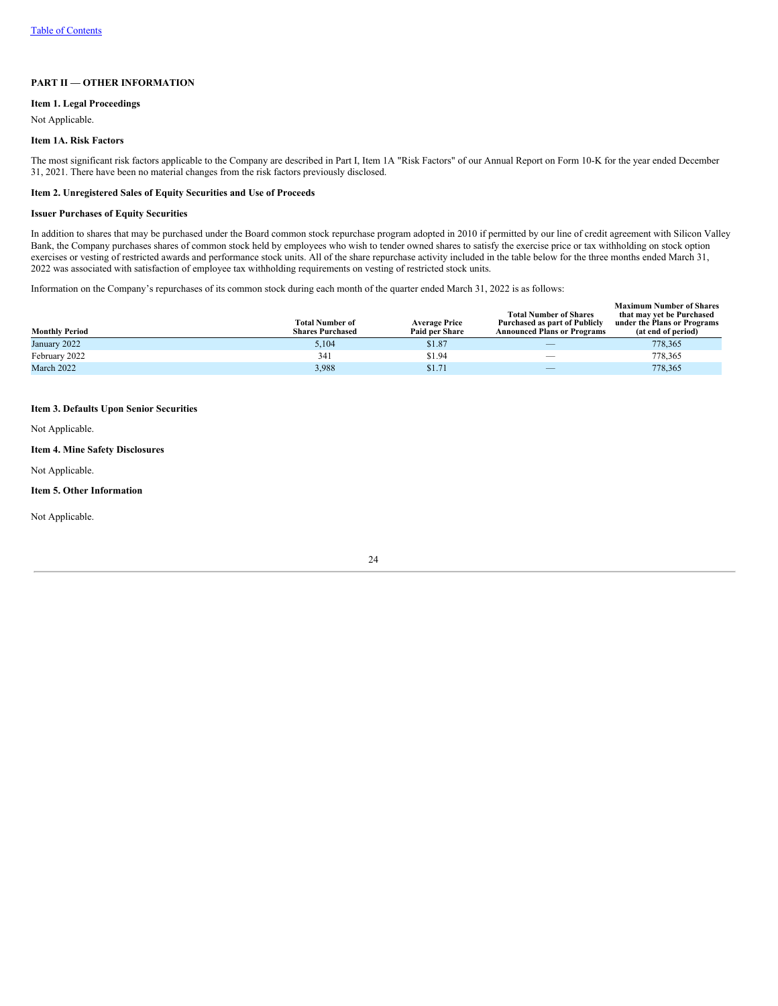## **PART II — OTHER INFORMATION**

## <span id="page-23-0"></span>**Item 1. Legal Proceedings**

Not Applicable.

## <span id="page-23-1"></span>**Item 1A. Risk Factors**

The most significant risk factors applicable to the Company are described in Part I, Item 1A "Risk Factors" of our Annual Report on Form 10-K for the year ended December 31, 2021. There have been no material changes from the risk factors previously disclosed.

## <span id="page-23-2"></span>**Item 2. Unregistered Sales of Equity Securities and Use of Proceeds**

#### **Issuer Purchases of Equity Securities**

In addition to shares that may be purchased under the Board common stock repurchase program adopted in 2010 if permitted by our line of credit agreement with Silicon Valley Bank, the Company purchases shares of common stock held by employees who wish to tender owned shares to satisfy the exercise price or tax withholding on stock option exercises or vesting of restricted awards and performance stock units. All of the share repurchase activity included in the table below for the three months ended March 31, 2022 was associated with satisfaction of employee tax withholding requirements on vesting of restricted stock units.

Information on the Company's repurchases of its common stock during each month of the quarter ended March 31, 2022 is as follows:

| <b>Monthly Period</b> | <b>Total Number of</b><br><b>Shares Purchased</b> | <b>Average Price</b><br>Paid per Share | <b>Total Number of Shares</b><br><b>Purchased as part of Publicly</b><br><b>Announced Plans or Programs</b> | <b>Maximum Number of Shares</b><br>that may yet be Purchased<br>under the Plans or Programs<br>(at end of period) |
|-----------------------|---------------------------------------------------|----------------------------------------|-------------------------------------------------------------------------------------------------------------|-------------------------------------------------------------------------------------------------------------------|
| January 2022          | 5,104                                             | \$1.87                                 |                                                                                                             | 778,365                                                                                                           |
| February 2022         | 341                                               | \$1.94                                 | –                                                                                                           | 778,365                                                                                                           |
| March 2022            | 3,988                                             | \$1.71                                 | $\overline{\phantom{a}}$                                                                                    | 778,365                                                                                                           |

### <span id="page-23-3"></span>**Item 3. Defaults Upon Senior Securities**

<span id="page-23-4"></span>Not Applicable.

## **Item 4. Mine Safety Disclosures**

<span id="page-23-5"></span>Not Applicable.

## **Item 5. Other Information**

<span id="page-23-6"></span>Not Applicable.

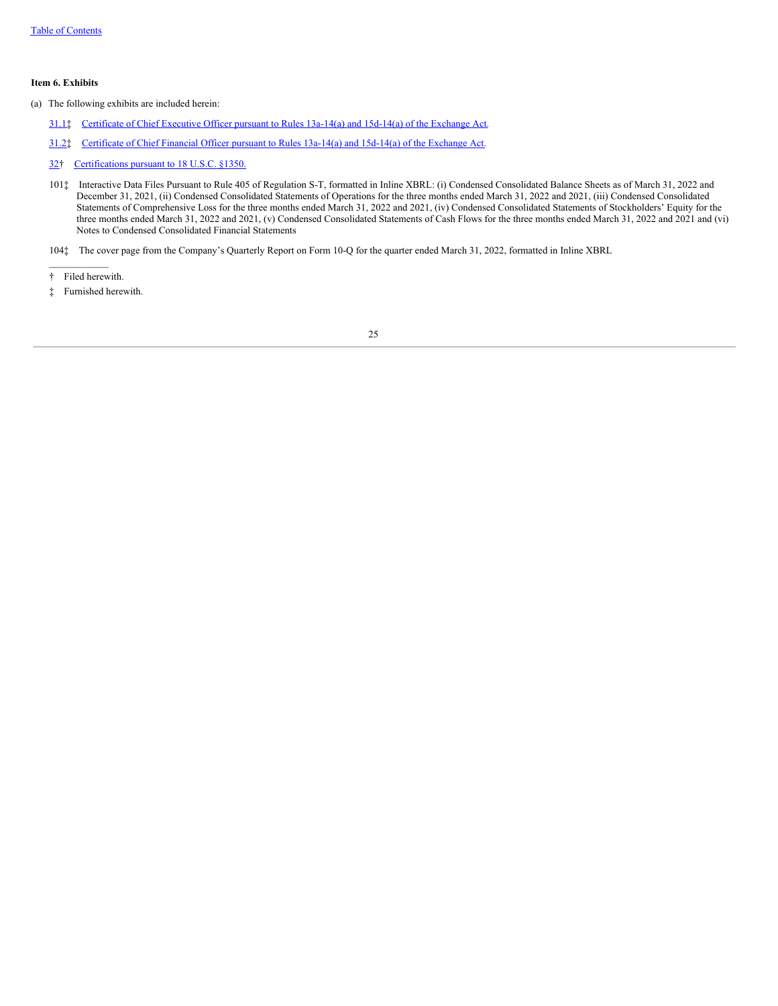## **Item 6. Exhibits**

(a) The following exhibits are included herein:

- [31.1](#page-26-0)‡ [Certificate](#page-26-0) of Chief Executive Officer pursuant to Rules 13a-14(a) and 15d-14(a) of the Exchange Act.
- [31.2](#page-27-0)‡ [Certificate](#page-27-0) of Chief Financial Officer pursuant to Rules 13a-14(a) and 15d-14(a) of the Exchange Act.

101‡ Interactive Data Files Pursuant to Rule 405 of Regulation S-T, formatted in Inline XBRL: (i) Condensed Consolidated Balance Sheets as of March 31, 2022 and December 31, 2021, (ii) Condensed Consolidated Statements of Operations for the three months ended March 31, 2022 and 2021, (iii) Condensed Consolidated Statements of Comprehensive Loss for the three months ended March 31, 2022 and 2021, (iv) Condensed Consolidated Statements of Stockholders' Equity for the three months ended March 31, 2022 and 2021, (v) Condensed Consolidated Statements of Cash Flows for the three months ended March 31, 2022 and 2021 and (vi) Notes to Condensed Consolidated Financial Statements

104‡ The cover page from the Company's Quarterly Report on Form 10-Q for the quarter ended March 31, 2022, formatted in Inline XBRL

 $\mathcal{L}_\text{max}$ † Filed herewith.

<span id="page-24-0"></span>‡ Furnished herewith.

[<sup>32</sup>](#page-28-0)† [Certifications](#page-28-0) pursuant to 18 U.S.C. §1350.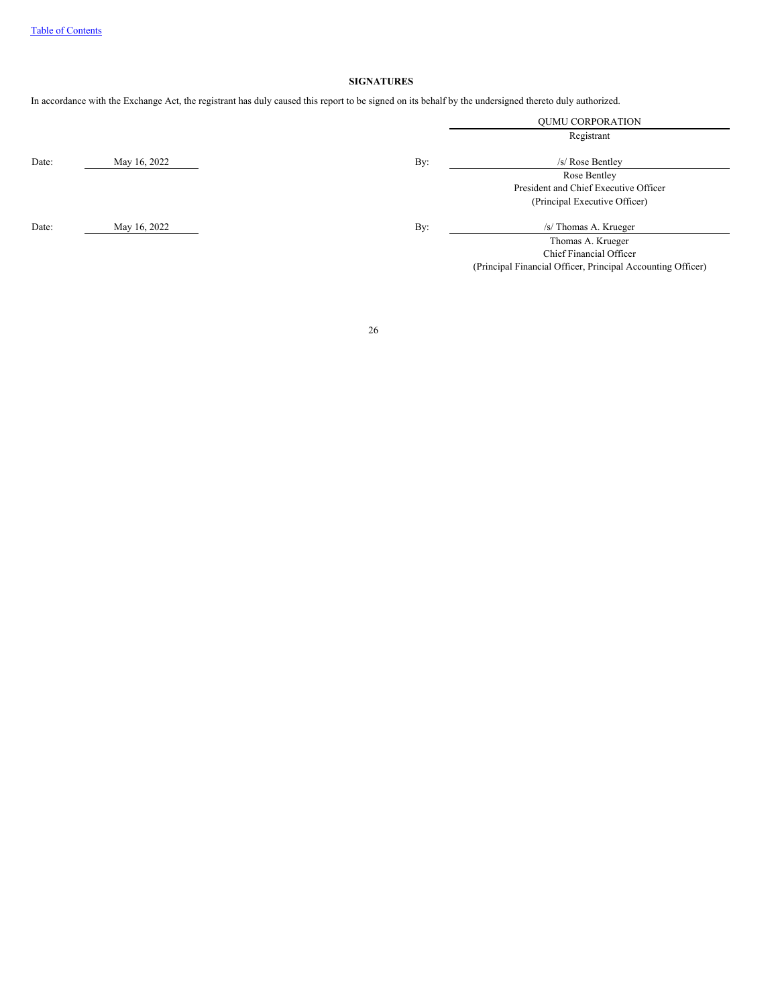## **SIGNATURES**

In accordance with the Exchange Act, the registrant has duly caused this report to be signed on its behalf by the undersigned thereto duly authorized.

|       |              |     | <b>OUMU CORPORATION</b>                                     |
|-------|--------------|-----|-------------------------------------------------------------|
|       |              |     | Registrant                                                  |
| Date: | May 16, 2022 | By: | /s/ Rose Bentley                                            |
|       |              |     | Rose Bentley                                                |
|       |              |     | President and Chief Executive Officer                       |
|       |              |     | (Principal Executive Officer)                               |
| Date: | May 16, 2022 | By: | /s/ Thomas A. Krueger                                       |
|       |              |     | Thomas A. Krueger                                           |
|       |              |     | Chief Financial Officer                                     |
|       |              |     | (Principal Financial Officer, Principal Accounting Officer) |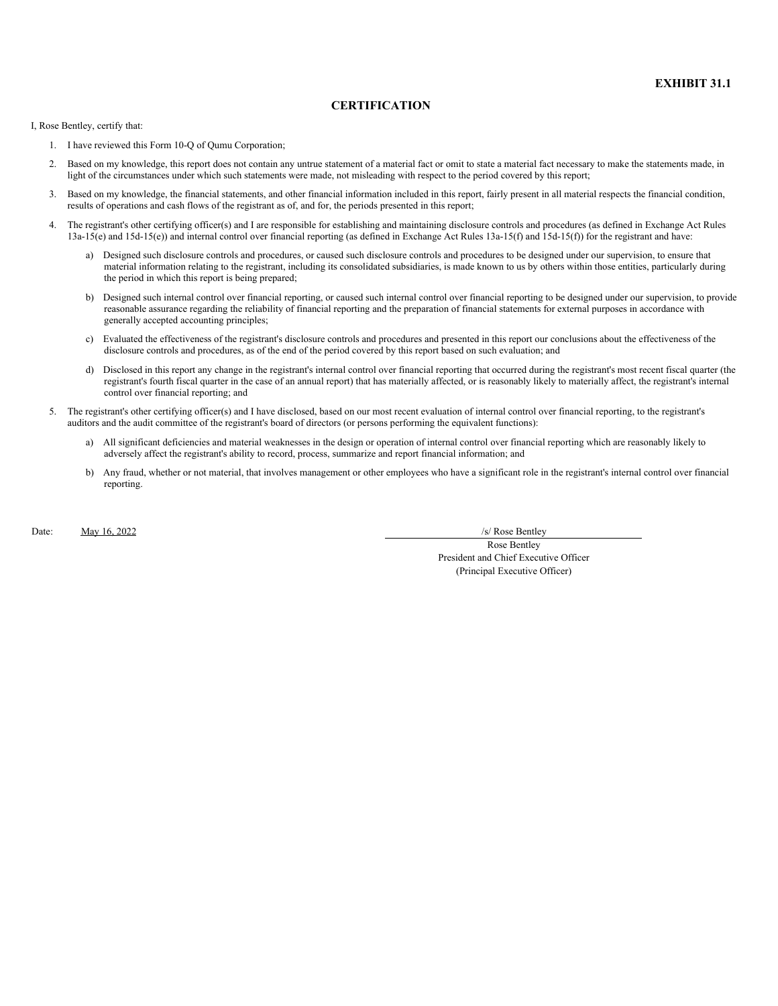## **CERTIFICATION**

<span id="page-26-0"></span>I, Rose Bentley, certify that:

- 1. I have reviewed this Form 10-Q of Qumu Corporation;
- 2. Based on my knowledge, this report does not contain any untrue statement of a material fact or omit to state a material fact necessary to make the statements made, in light of the circumstances under which such statements were made, not misleading with respect to the period covered by this report;
- 3. Based on my knowledge, the financial statements, and other financial information included in this report, fairly present in all material respects the financial condition, results of operations and cash flows of the registrant as of, and for, the periods presented in this report;
- 4. The registrant's other certifying officer(s) and I are responsible for establishing and maintaining disclosure controls and procedures (as defined in Exchange Act Rules 13a-15(e) and 15d-15(e)) and internal control over financial reporting (as defined in Exchange Act Rules 13a-15(f) and 15d-15(f)) for the registrant and have:
	- a) Designed such disclosure controls and procedures, or caused such disclosure controls and procedures to be designed under our supervision, to ensure that material information relating to the registrant, including its consolidated subsidiaries, is made known to us by others within those entities, particularly during the period in which this report is being prepared;
	- b) Designed such internal control over financial reporting, or caused such internal control over financial reporting to be designed under our supervision, to provide reasonable assurance regarding the reliability of financial reporting and the preparation of financial statements for external purposes in accordance with generally accepted accounting principles;
	- c) Evaluated the effectiveness of the registrant's disclosure controls and procedures and presented in this report our conclusions about the effectiveness of the disclosure controls and procedures, as of the end of the period covered by this report based on such evaluation; and
	- d) Disclosed in this report any change in the registrant's internal control over financial reporting that occurred during the registrant's most recent fiscal quarter (the registrant's fourth fiscal quarter in the case of an annual report) that has materially affected, or is reasonably likely to materially affect, the registrant's internal control over financial reporting; and
- 5. The registrant's other certifying officer(s) and I have disclosed, based on our most recent evaluation of internal control over financial reporting, to the registrant's auditors and the audit committee of the registrant's board of directors (or persons performing the equivalent functions):
	- a) All significant deficiencies and material weaknesses in the design or operation of internal control over financial reporting which are reasonably likely to adversely affect the registrant's ability to record, process, summarize and report financial information; and
	- b) Any fraud, whether or not material, that involves management or other employees who have a significant role in the registrant's internal control over financial reporting.

Date: May 16, 2022 /s/ Rose Bentley

Rose Bentley President and Chief Executive Officer (Principal Executive Officer)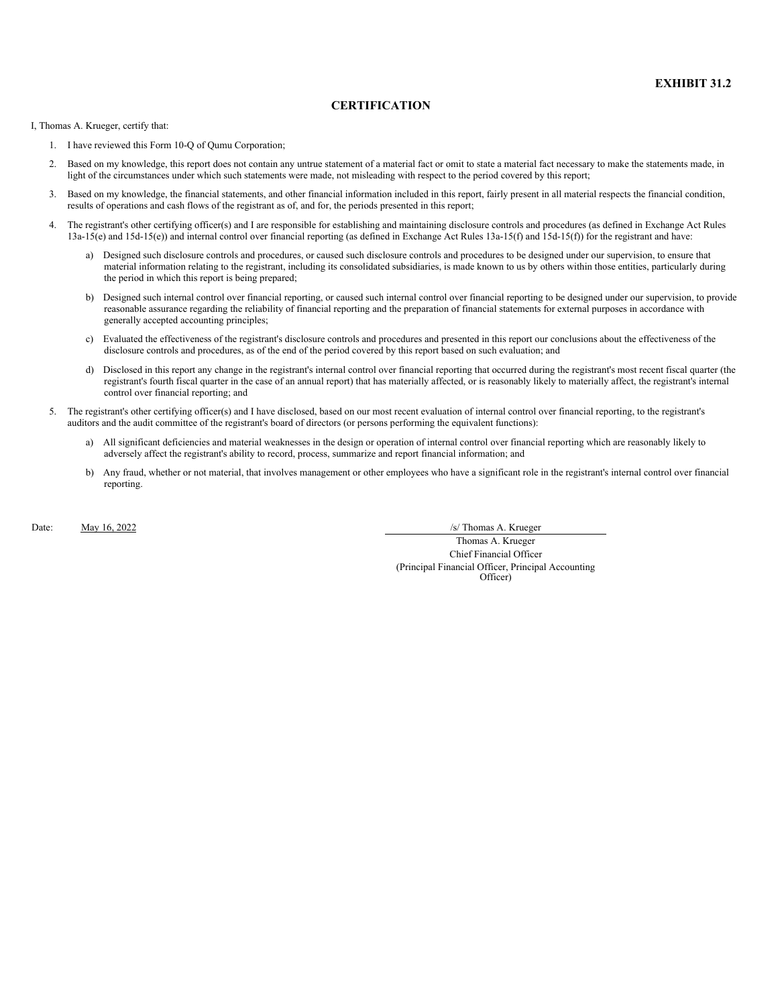## **CERTIFICATION**

<span id="page-27-0"></span>I, Thomas A. Krueger, certify that:

- 1. I have reviewed this Form 10-Q of Qumu Corporation;
- 2. Based on my knowledge, this report does not contain any untrue statement of a material fact or omit to state a material fact necessary to make the statements made, in light of the circumstances under which such statements were made, not misleading with respect to the period covered by this report;
- 3. Based on my knowledge, the financial statements, and other financial information included in this report, fairly present in all material respects the financial condition, results of operations and cash flows of the registrant as of, and for, the periods presented in this report;
- 4. The registrant's other certifying officer(s) and I are responsible for establishing and maintaining disclosure controls and procedures (as defined in Exchange Act Rules 13a-15(e) and 15d-15(e)) and internal control over financial reporting (as defined in Exchange Act Rules 13a-15(f) and 15d-15(f)) for the registrant and have:
	- a) Designed such disclosure controls and procedures, or caused such disclosure controls and procedures to be designed under our supervision, to ensure that material information relating to the registrant, including its consolidated subsidiaries, is made known to us by others within those entities, particularly during the period in which this report is being prepared;
	- b) Designed such internal control over financial reporting, or caused such internal control over financial reporting to be designed under our supervision, to provide reasonable assurance regarding the reliability of financial reporting and the preparation of financial statements for external purposes in accordance with generally accepted accounting principles;
	- c) Evaluated the effectiveness of the registrant's disclosure controls and procedures and presented in this report our conclusions about the effectiveness of the disclosure controls and procedures, as of the end of the period covered by this report based on such evaluation; and
	- d) Disclosed in this report any change in the registrant's internal control over financial reporting that occurred during the registrant's most recent fiscal quarter (the registrant's fourth fiscal quarter in the case of an annual report) that has materially affected, or is reasonably likely to materially affect, the registrant's internal control over financial reporting; and
- 5. The registrant's other certifying officer(s) and I have disclosed, based on our most recent evaluation of internal control over financial reporting, to the registrant's auditors and the audit committee of the registrant's board of directors (or persons performing the equivalent functions):
	- a) All significant deficiencies and material weaknesses in the design or operation of internal control over financial reporting which are reasonably likely to adversely affect the registrant's ability to record, process, summarize and report financial information; and
	- b) Any fraud, whether or not material, that involves management or other employees who have a significant role in the registrant's internal control over financial reporting.

Date: May 16, 2022 *S/ Thomas A. Krueger May 16, 2022 S/ Thomas A. Krueger* 

Thomas A. Krueger Chief Financial Officer (Principal Financial Officer, Principal Accounting Officer)